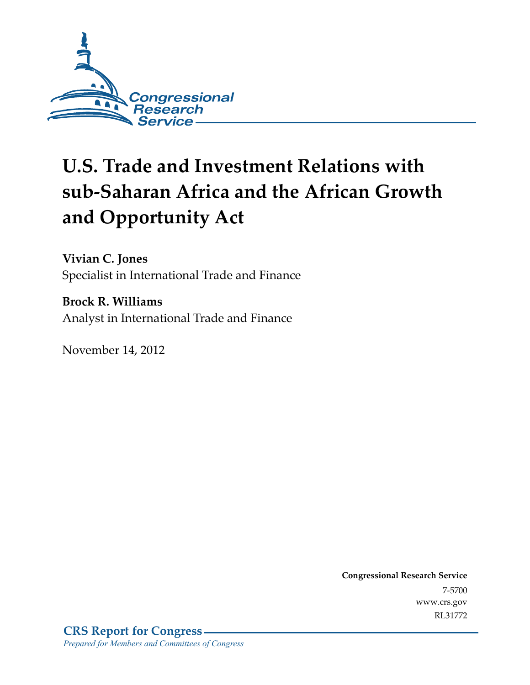

# **U.S. Trade and Investment Relations with sub-Saharan Africa and the African Growth and Opportunity Act**

**Vivian C. Jones**  Specialist in International Trade and Finance

**Brock R. Williams**  Analyst in International Trade and Finance

November 14, 2012

**Congressional Research Service**  7-5700 www.crs.gov RL31772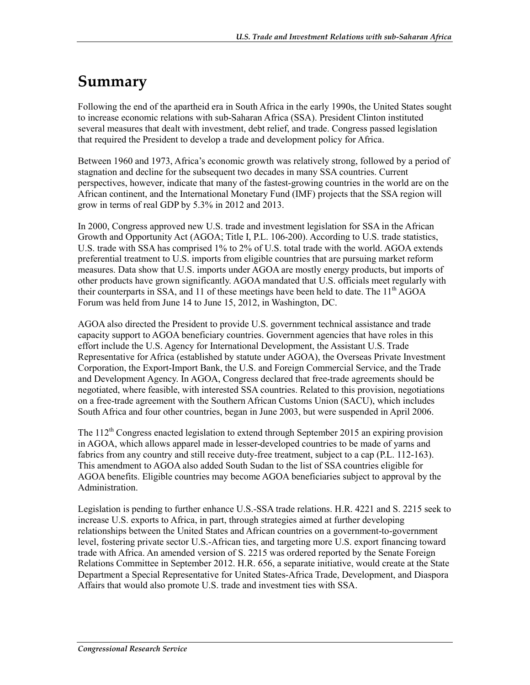# **Summary**

Following the end of the apartheid era in South Africa in the early 1990s, the United States sought to increase economic relations with sub-Saharan Africa (SSA). President Clinton instituted several measures that dealt with investment, debt relief, and trade. Congress passed legislation that required the President to develop a trade and development policy for Africa.

Between 1960 and 1973, Africa's economic growth was relatively strong, followed by a period of stagnation and decline for the subsequent two decades in many SSA countries. Current perspectives, however, indicate that many of the fastest-growing countries in the world are on the African continent, and the International Monetary Fund (IMF) projects that the SSA region will grow in terms of real GDP by 5.3% in 2012 and 2013.

In 2000, Congress approved new U.S. trade and investment legislation for SSA in the African Growth and Opportunity Act (AGOA; Title I, P.L. 106-200). According to U.S. trade statistics, U.S. trade with SSA has comprised 1% to 2% of U.S. total trade with the world. AGOA extends preferential treatment to U.S. imports from eligible countries that are pursuing market reform measures. Data show that U.S. imports under AGOA are mostly energy products, but imports of other products have grown significantly. AGOA mandated that U.S. officials meet regularly with their counterparts in SSA, and 11 of these meetings have been held to date. The 11<sup>th</sup> AGOA Forum was held from June 14 to June 15, 2012, in Washington, DC.

AGOA also directed the President to provide U.S. government technical assistance and trade capacity support to AGOA beneficiary countries. Government agencies that have roles in this effort include the U.S. Agency for International Development, the Assistant U.S. Trade Representative for Africa (established by statute under AGOA), the Overseas Private Investment Corporation, the Export-Import Bank, the U.S. and Foreign Commercial Service, and the Trade and Development Agency. In AGOA, Congress declared that free-trade agreements should be negotiated, where feasible, with interested SSA countries. Related to this provision, negotiations on a free-trade agreement with the Southern African Customs Union (SACU), which includes South Africa and four other countries, began in June 2003, but were suspended in April 2006.

The  $112<sup>th</sup>$  Congress enacted legislation to extend through September 2015 an expiring provision in AGOA, which allows apparel made in lesser-developed countries to be made of yarns and fabrics from any country and still receive duty-free treatment, subject to a cap (P.L. 112-163). This amendment to AGOA also added South Sudan to the list of SSA countries eligible for AGOA benefits. Eligible countries may become AGOA beneficiaries subject to approval by the Administration.

Legislation is pending to further enhance U.S.-SSA trade relations. H.R. 4221 and S. 2215 seek to increase U.S. exports to Africa, in part, through strategies aimed at further developing relationships between the United States and African countries on a government-to-government level, fostering private sector U.S.-African ties, and targeting more U.S. export financing toward trade with Africa. An amended version of S. 2215 was ordered reported by the Senate Foreign Relations Committee in September 2012. H.R. 656, a separate initiative, would create at the State Department a Special Representative for United States-Africa Trade, Development, and Diaspora Affairs that would also promote U.S. trade and investment ties with SSA.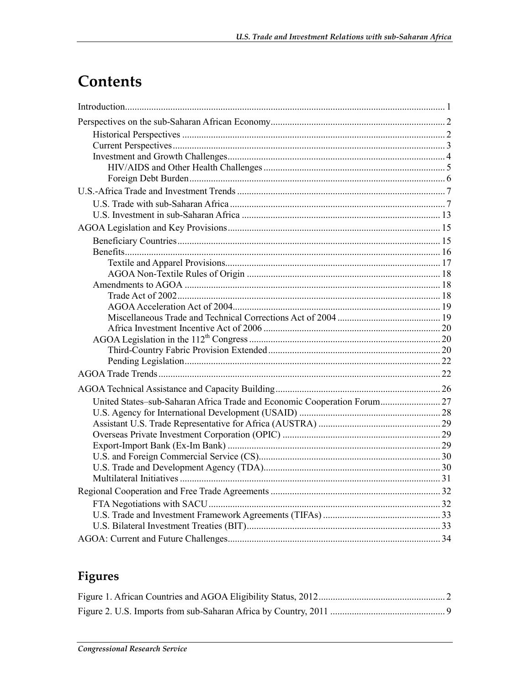# Contents

| United States-sub-Saharan Africa Trade and Economic Cooperation Forum 27 |  |
|--------------------------------------------------------------------------|--|
|                                                                          |  |
|                                                                          |  |
|                                                                          |  |
|                                                                          |  |
|                                                                          |  |
|                                                                          |  |
|                                                                          |  |
|                                                                          |  |
|                                                                          |  |
|                                                                          |  |
|                                                                          |  |
|                                                                          |  |

# Figures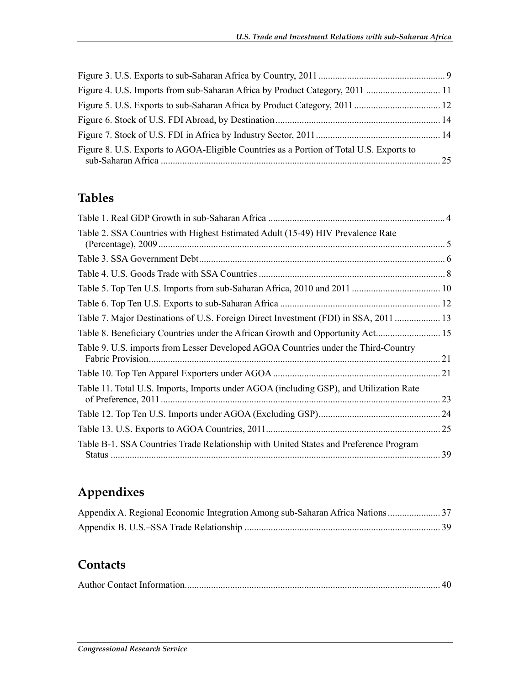| Figure 8. U.S. Exports to AGOA-Eligible Countries as a Portion of Total U.S. Exports to |  |
|-----------------------------------------------------------------------------------------|--|

# **Tables**

| Table 2. SSA Countries with Highest Estimated Adult (15-49) HIV Prevalence Rate        |    |
|----------------------------------------------------------------------------------------|----|
|                                                                                        |    |
|                                                                                        |    |
|                                                                                        |    |
|                                                                                        |    |
| Table 7. Major Destinations of U.S. Foreign Direct Investment (FDI) in SSA, 2011  13   |    |
| Table 8. Beneficiary Countries under the African Growth and Opportunity Act 15         |    |
| Table 9. U.S. imports from Lesser Developed AGOA Countries under the Third-Country     |    |
|                                                                                        |    |
| Table 11. Total U.S. Imports, Imports under AGOA (including GSP), and Utilization Rate | 23 |
|                                                                                        |    |
|                                                                                        |    |
| Table B-1. SSA Countries Trade Relationship with United States and Preference Program  | 39 |

# **Appendixes**

| Appendix A. Regional Economic Integration Among sub-Saharan Africa Nations 37 |  |
|-------------------------------------------------------------------------------|--|
|                                                                               |  |

# **Contacts**

|--|--|--|--|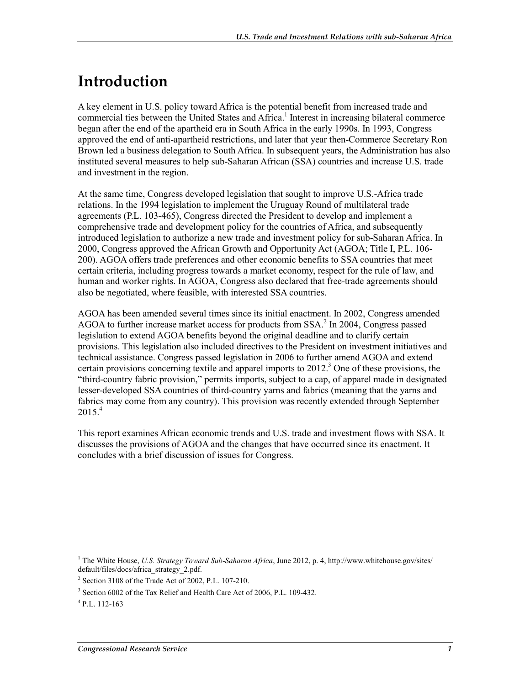# **Introduction**

A key element in U.S. policy toward Africa is the potential benefit from increased trade and commercial ties between the United States and Africa.<sup>1</sup> Interest in increasing bilateral commerce began after the end of the apartheid era in South Africa in the early 1990s. In 1993, Congress approved the end of anti-apartheid restrictions, and later that year then-Commerce Secretary Ron Brown led a business delegation to South Africa. In subsequent years, the Administration has also instituted several measures to help sub-Saharan African (SSA) countries and increase U.S. trade and investment in the region.

At the same time, Congress developed legislation that sought to improve U.S.-Africa trade relations. In the 1994 legislation to implement the Uruguay Round of multilateral trade agreements (P.L. 103-465), Congress directed the President to develop and implement a comprehensive trade and development policy for the countries of Africa, and subsequently introduced legislation to authorize a new trade and investment policy for sub-Saharan Africa. In 2000, Congress approved the African Growth and Opportunity Act (AGOA; Title I, P.L. 106- 200). AGOA offers trade preferences and other economic benefits to SSA countries that meet certain criteria, including progress towards a market economy, respect for the rule of law, and human and worker rights. In AGOA, Congress also declared that free-trade agreements should also be negotiated, where feasible, with interested SSA countries.

AGOA has been amended several times since its initial enactment. In 2002, Congress amended AGOA to further increase market access for products from  $SSA$ <sup>2</sup>. In 2004, Congress passed legislation to extend AGOA benefits beyond the original deadline and to clarify certain provisions. This legislation also included directives to the President on investment initiatives and technical assistance. Congress passed legislation in 2006 to further amend AGOA and extend certain provisions concerning textile and apparel imports to 2012.<sup>3</sup> One of these provisions, the "third-country fabric provision," permits imports, subject to a cap, of apparel made in designated lesser-developed SSA countries of third-country yarns and fabrics (meaning that the yarns and fabrics may come from any country). This provision was recently extended through September  $2015.<sup>4</sup>$ 

This report examines African economic trends and U.S. trade and investment flows with SSA. It discusses the provisions of AGOA and the changes that have occurred since its enactment. It concludes with a brief discussion of issues for Congress.

<sup>&</sup>lt;sup>1</sup> The White House, *U.S. Strategy Toward Sub-Saharan Africa*, June 2012, p. 4, http://www.whitehouse.gov/sites/ default/files/docs/africa\_strategy\_2.pdf.

<sup>2</sup> Section 3108 of the Trade Act of 2002, P.L. 107-210.

<sup>&</sup>lt;sup>3</sup> Section 6002 of the Tax Relief and Health Care Act of 2006, P.L. 109-432.

<sup>4</sup> P.L. 112-163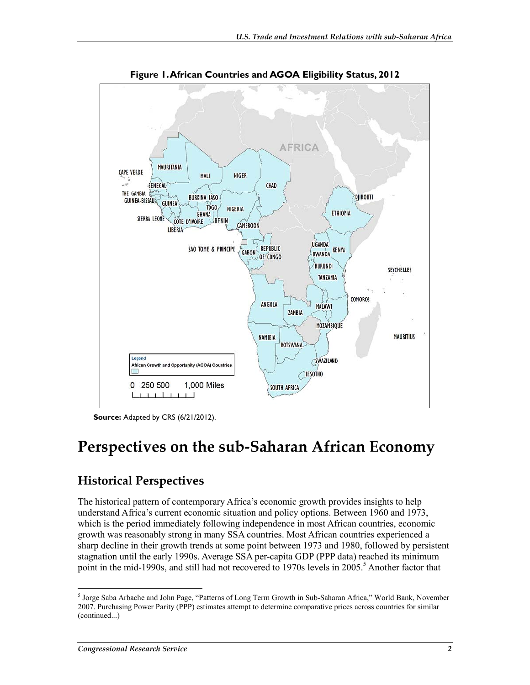

**Figure 1. African Countries and AGOA Eligibility Status, 2012** 

**Source:** Adapted by CRS (6/21/2012).

# **Perspectives on the sub-Saharan African Economy**

# **Historical Perspectives**

The historical pattern of contemporary Africa's economic growth provides insights to help understand Africa's current economic situation and policy options. Between 1960 and 1973, which is the period immediately following independence in most African countries, economic growth was reasonably strong in many SSA countries. Most African countries experienced a sharp decline in their growth trends at some point between 1973 and 1980, followed by persistent stagnation until the early 1990s. Average SSA per-capita GDP (PPP data) reached its minimum point in the mid-1990s, and still had not recovered to 1970s levels in 2005.<sup>5</sup> Another factor that

<sup>5</sup> Jorge Saba Arbache and John Page, "Patterns of Long Term Growth in Sub-Saharan Africa," World Bank, November 2007. Purchasing Power Parity (PPP) estimates attempt to determine comparative prices across countries for similar (continued...)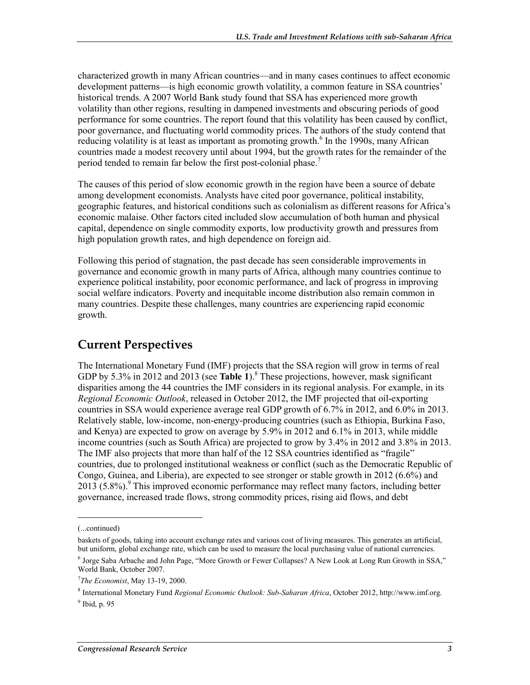characterized growth in many African countries—and in many cases continues to affect economic development patterns—is high economic growth volatility, a common feature in SSA countries' historical trends. A 2007 World Bank study found that SSA has experienced more growth volatility than other regions, resulting in dampened investments and obscuring periods of good performance for some countries. The report found that this volatility has been caused by conflict, poor governance, and fluctuating world commodity prices. The authors of the study contend that reducing volatility is at least as important as promoting growth.<sup>6</sup> In the 1990s, many African countries made a modest recovery until about 1994, but the growth rates for the remainder of the period tended to remain far below the first post-colonial phase.<sup>7</sup>

The causes of this period of slow economic growth in the region have been a source of debate among development economists. Analysts have cited poor governance, political instability, geographic features, and historical conditions such as colonialism as different reasons for Africa's economic malaise. Other factors cited included slow accumulation of both human and physical capital, dependence on single commodity exports, low productivity growth and pressures from high population growth rates, and high dependence on foreign aid.

Following this period of stagnation, the past decade has seen considerable improvements in governance and economic growth in many parts of Africa, although many countries continue to experience political instability, poor economic performance, and lack of progress in improving social welfare indicators. Poverty and inequitable income distribution also remain common in many countries. Despite these challenges, many countries are experiencing rapid economic growth.

## **Current Perspectives**

The International Monetary Fund (IMF) projects that the SSA region will grow in terms of real GDP by 5.3% in 2012 and 2013 (see Table 1).<sup>8</sup> These projections, however, mask significant disparities among the 44 countries the IMF considers in its regional analysis. For example, in its *Regional Economic Outlook*, released in October 2012, the IMF projected that oil-exporting countries in SSA would experience average real GDP growth of 6.7% in 2012, and 6.0% in 2013. Relatively stable, low-income, non-energy-producing countries (such as Ethiopia, Burkina Faso, and Kenya) are expected to grow on average by 5.9% in 2012 and 6.1% in 2013, while middle income countries (such as South Africa) are projected to grow by 3.4% in 2012 and 3.8% in 2013. The IMF also projects that more than half of the 12 SSA countries identified as "fragile" countries, due to prolonged institutional weakness or conflict (such as the Democratic Republic of Congo, Guinea, and Liberia), are expected to see stronger or stable growth in 2012 (6.6%) and 2013 (5.8%).<sup>9</sup> This improved economic performance may reflect many factors, including better governance, increased trade flows, strong commodity prices, rising aid flows, and debt

<sup>(...</sup>continued)

baskets of goods, taking into account exchange rates and various cost of living measures. This generates an artificial, but uniform, global exchange rate, which can be used to measure the local purchasing value of national currencies.

<sup>&</sup>lt;sup>6</sup> Jorge Saba Arbache and John Page, "More Growth or Fewer Collapses? A New Look at Long Run Growth in SSA," World Bank, October 2007.

<sup>7</sup> *The Economist*, May 13-19, 2000.

<sup>8</sup> International Monetary Fund *Regional Economic Outlook: Sub-Saharan Africa*, October 2012, http://www.imf.org.  $<sup>9</sup>$  Ibid, p. 95</sup>

*Congressional Research Service 3*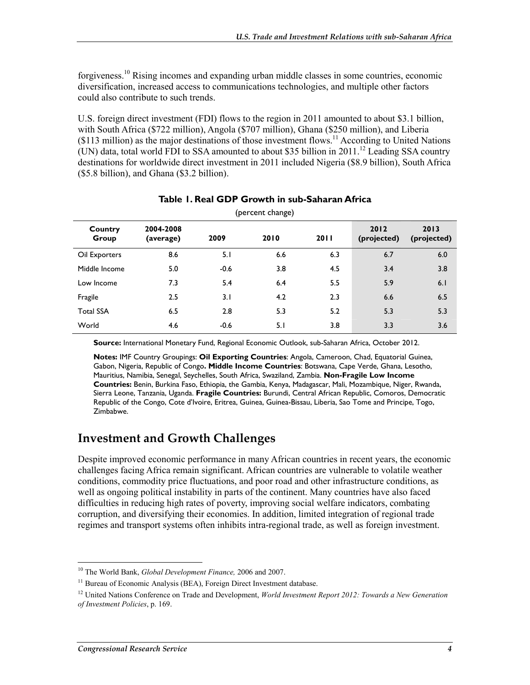forgiveness.10 Rising incomes and expanding urban middle classes in some countries, economic diversification, increased access to communications technologies, and multiple other factors could also contribute to such trends.

U.S. foreign direct investment (FDI) flows to the region in 2011 amounted to about \$3.1 billion, with South Africa (\$722 million), Angola (\$707 million), Ghana (\$250 million), and Liberia (\$113 million) as the major destinations of those investment flows.11 According to United Nations (UN) data, total world FDI to SSA amounted to about \$35 billion in  $2011$ <sup>12</sup> Leading SSA country destinations for worldwide direct investment in 2011 included Nigeria (\$8.9 billion), South Africa (\$5.8 billion), and Ghana (\$3.2 billion).

| Country<br>Group | 2004-2008<br>(average) | 2009   | 2010 | 2011 | 2012<br>(projected) | 2013<br>(projected) |  |
|------------------|------------------------|--------|------|------|---------------------|---------------------|--|
| Oil Exporters    | 8.6                    | 5.1    | 6.6  | 6.3  | 6.7                 | 6.0                 |  |
| Middle Income    | 5.0                    | $-0.6$ | 3.8  | 4.5  | 3.4                 | 3.8                 |  |
| Low Income       | 7.3                    | 5.4    | 6.4  | 5.5  | 5.9                 | 6.1                 |  |
| Fragile          | 2.5                    | 3.1    | 4.2  | 2.3  | 6.6                 | 6.5                 |  |
| <b>Total SSA</b> | 6.5                    | 2.8    | 5.3  | 5.2  | 5.3                 | 5.3                 |  |
| World            | 4.6                    | $-0.6$ | 5.1  | 3.8  | 3.3                 | 3.6                 |  |

#### **Table 1. Real GDP Growth in sub-Saharan Africa**  (percent change)

**Source:** International Monetary Fund, Regional Economic Outlook, sub-Saharan Africa, October 2012.

**Notes:** IMF Country Groupings: **Oil Exporting Countries**: Angola, Cameroon, Chad, Equatorial Guinea, Gabon, Nigeria, Republic of Congo**. Middle Income Countries**: Botswana, Cape Verde, Ghana, Lesotho, Mauritius, Namibia, Senegal, Seychelles, South Africa, Swaziland, Zambia. **Non-Fragile Low Income Countries:** Benin, Burkina Faso, Ethiopia, the Gambia, Kenya, Madagascar, Mali, Mozambique, Niger, Rwanda, Sierra Leone, Tanzania, Uganda. **Fragile Countries:** Burundi, Central African Republic, Comoros, Democratic Republic of the Congo, Cote d'Ivoire, Eritrea, Guinea, Guinea-Bissau, Liberia, Sao Tome and Principe, Togo, Zimbabwe.

## **Investment and Growth Challenges**

Despite improved economic performance in many African countries in recent years, the economic challenges facing Africa remain significant. African countries are vulnerable to volatile weather conditions, commodity price fluctuations, and poor road and other infrastructure conditions, as well as ongoing political instability in parts of the continent. Many countries have also faced difficulties in reducing high rates of poverty, improving social welfare indicators, combating corruption, and diversifying their economies. In addition, limited integration of regional trade regimes and transport systems often inhibits intra-regional trade, as well as foreign investment.

<sup>1</sup> 10 The World Bank, *Global Development Finance,* 2006 and 2007.

<sup>&</sup>lt;sup>11</sup> Bureau of Economic Analysis (BEA), Foreign Direct Investment database.

<sup>&</sup>lt;sup>12</sup> United Nations Conference on Trade and Development, *World Investment Report 2012: Towards a New Generation of Investment Policies*, p. 169.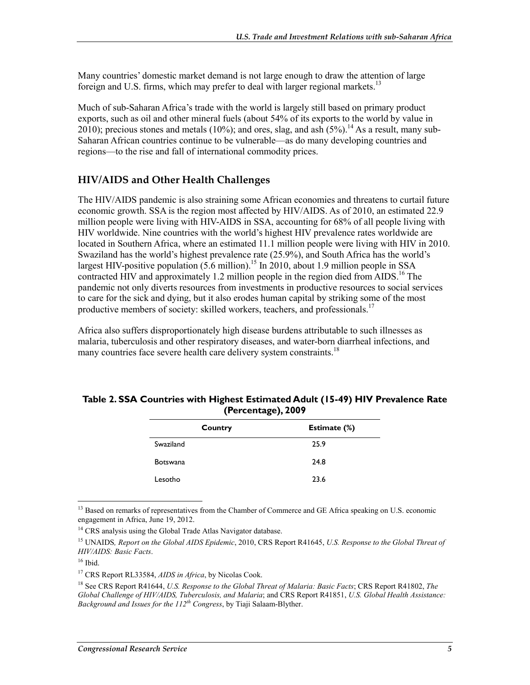Many countries' domestic market demand is not large enough to draw the attention of large foreign and U.S. firms, which may prefer to deal with larger regional markets.<sup>13</sup>

Much of sub-Saharan Africa's trade with the world is largely still based on primary product exports, such as oil and other mineral fuels (about 54% of its exports to the world by value in 2010); precious stones and metals (10%); and ores, slag, and ash  $(5\%)$ .<sup>14</sup> As a result, many sub-Saharan African countries continue to be vulnerable—as do many developing countries and regions—to the rise and fall of international commodity prices.

### **HIV/AIDS and Other Health Challenges**

The HIV/AIDS pandemic is also straining some African economies and threatens to curtail future economic growth. SSA is the region most affected by HIV/AIDS. As of 2010, an estimated 22.9 million people were living with HIV-AIDS in SSA, accounting for 68% of all people living with HIV worldwide. Nine countries with the world's highest HIV prevalence rates worldwide are located in Southern Africa, where an estimated 11.1 million people were living with HIV in 2010. Swaziland has the world's highest prevalence rate (25.9%), and South Africa has the world's largest HIV-positive population  $(5.6 \text{ million})^{15}$  In 2010, about 1.9 million people in SSA contracted HIV and approximately 1.2 million people in the region died from AIDS.<sup>16</sup> The pandemic not only diverts resources from investments in productive resources to social services to care for the sick and dying, but it also erodes human capital by striking some of the most productive members of society: skilled workers, teachers, and professionals.<sup>17</sup>

Africa also suffers disproportionately high disease burdens attributable to such illnesses as malaria, tuberculosis and other respiratory diseases, and water-born diarrheal infections, and many countries face severe health care delivery system constraints.<sup>18</sup>

#### **Table 2. SSA Countries with Highest Estimated Adult (15-49) HIV Prevalence Rate (Percentage), 2009**

| Country         | Estimate (%) |
|-----------------|--------------|
| Swaziland       | 25.9         |
| <b>Botswana</b> | 24.8         |
| Lesotho         | 23.6         |

1 <sup>13</sup> Based on remarks of representatives from the Chamber of Commerce and GE Africa speaking on U.S. economic engagement in Africa, June 19, 2012.

18 See CRS Report R41644, *U.S. Response to the Global Threat of Malaria: Basic Facts*; CRS Report R41802, *The Global Challenge of HIV/AIDS, Tuberculosis, and Malaria*; and CRS Report R41851, *U.S. Global Health Assistance: Background and Issues for the 112th Congress*, by Tiaji Salaam-Blyther.

<sup>&</sup>lt;sup>14</sup> CRS analysis using the Global Trade Atlas Navigator database.

<sup>15</sup> UNAIDS*, Report on the Global AIDS Epidemic*, 2010, CRS Report R41645, *U.S. Response to the Global Threat of HIV/AIDS: Basic Facts*.

 $16$  Ibid.

<sup>17</sup> CRS Report RL33584, *AIDS in Africa*, by Nicolas Cook.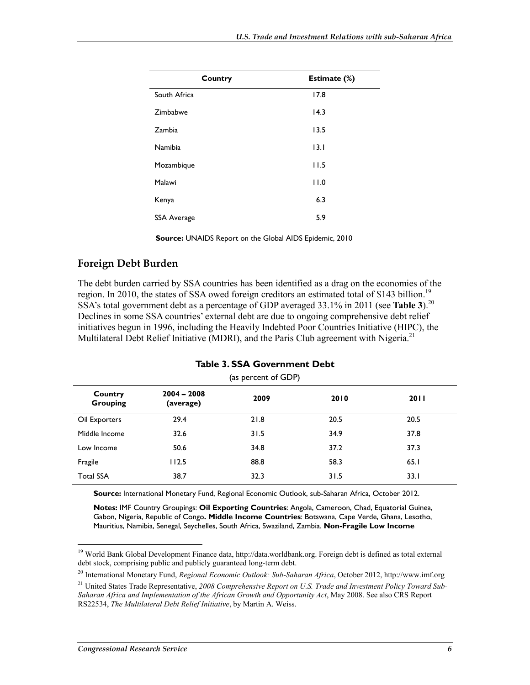| Country            | Estimate (%) |
|--------------------|--------------|
| South Africa       | 17.8         |
| Zimbabwe           | 14.3         |
| Zambia             | 13.5         |
| Namibia            | 13.1         |
| Mozambique         | 11.5         |
| Malawi             | 11.0         |
| Kenya              | 6.3          |
| <b>SSA Average</b> | 5.9          |
|                    |              |

**Source:** UNAIDS Report on the Global AIDS Epidemic, 2010

#### **Foreign Debt Burden**

The debt burden carried by SSA countries has been identified as a drag on the economies of the region. In 2010, the states of SSA owed foreign creditors an estimated total of \$143 billion.<sup>19</sup> SSA's total government debt as a percentage of GDP averaged 33.1% in 2011 (see Table 3).<sup>20</sup> Declines in some SSA countries' external debt are due to ongoing comprehensive debt relief initiatives begun in 1996, including the Heavily Indebted Poor Countries Initiative (HIPC), the Multilateral Debt Relief Initiative (MDRI), and the Paris Club agreement with Nigeria.<sup>21</sup>

| Country<br><b>Grouping</b> | $2004 - 2008$<br>(average) | 2009 | 2010 | <b>2011</b> |
|----------------------------|----------------------------|------|------|-------------|
| Oil Exporters              | 29.4                       | 21.8 | 20.5 | 20.5        |
| Middle Income              | 32.6                       | 31.5 | 34.9 | 37.8        |
| Low Income                 | 50.6                       | 34.8 | 37.2 | 37.3        |
| Fragile                    | 112.5                      | 88.8 | 58.3 | 65.1        |
| <b>Total SSA</b>           | 38.7                       | 32.3 | 31.5 | 33.1        |

#### **Table 3. SSA Government Debt**

(as percent of GDP)

**Source:** International Monetary Fund, Regional Economic Outlook, sub-Saharan Africa, October 2012.

**Notes:** IMF Country Groupings: **Oil Exporting Countries**: Angola, Cameroon, Chad, Equatorial Guinea, Gabon, Nigeria, Republic of Congo**. Middle Income Countries**: Botswana, Cape Verde, Ghana, Lesotho, Mauritius, Namibia, Senegal, Seychelles, South Africa, Swaziland, Zambia. **Non-Fragile Low Income** 

20 International Monetary Fund, *Regional Economic Outlook: Sub-Saharan Africa*, October 2012, http://www.imf.org

<sup>&</sup>lt;sup>19</sup> World Bank Global Development Finance data, http://data.worldbank.org. Foreign debt is defined as total external debt stock, comprising public and publicly guaranteed long-term debt.

<sup>21</sup> United States Trade Representative, *2008 Comprehensive Report on U.S. Trade and Investment Policy Toward Sub-Saharan Africa and Implementation of the African Growth and Opportunity Act*, May 2008. See also CRS Report RS22534, *The Multilateral Debt Relief Initiative*, by Martin A. Weiss.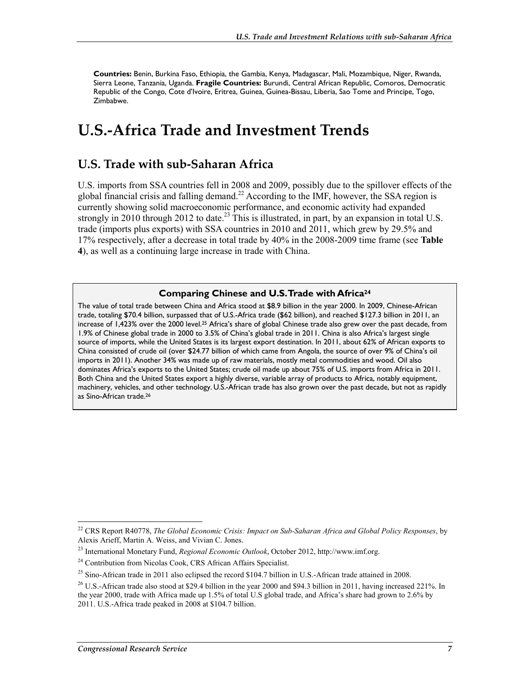**Countries:** Benin, Burkina Faso, Ethiopia, the Gambia, Kenya, Madagascar, Mali, Mozambique, Niger, Rwanda, Sierra Leone, Tanzania, Uganda. **Fragile Countries:** Burundi, Central African Republic, Comoros, Democratic Republic of the Congo, Cote d'Ivoire, Eritrea, Guinea, Guinea-Bissau, Liberia, Sao Tome and Principe, Togo, Zimbabwe.

# **U.S.-Africa Trade and Investment Trends**

### **U.S. Trade with sub-Saharan Africa**

U.S. imports from SSA countries fell in 2008 and 2009, possibly due to the spillover effects of the global financial crisis and falling demand.<sup>22</sup> According to the IMF, however, the SSA region is currently showing solid macroeconomic performance, and economic activity had expanded strongly in 2010 through 2012 to date.<sup>23</sup> This is illustrated, in part, by an expansion in total U.S. trade (imports plus exports) with SSA countries in 2010 and 2011, which grew by 29.5% and 17% respectively, after a decrease in total trade by 40% in the 2008-2009 time frame (see **Table 4**), as well as a continuing large increase in trade with China.

#### **Comparing Chinese and U.S. Trade with Africa24**

The value of total trade between China and Africa stood at \$8.9 billion in the year 2000. In 2009, Chinese-African trade, totaling \$70.4 billion, surpassed that of U.S.-Africa trade (\$62 billion), and reached \$127.3 billion in 2011, an increase of 1,423% over the 2000 level.25 Africa's share of global Chinese trade also grew over the past decade, from 1.9% of Chinese global trade in 2000 to 3.5% of China's global trade in 2011. China is also Africa's largest single source of imports, while the United States is its largest export destination. In 2011, about 62% of African exports to China consisted of crude oil (over \$24.77 billion of which came from Angola, the source of over 9% of China's oil imports in 2011). Another 34% was made up of raw materials, mostly metal commodities and wood. Oil also dominates Africa's exports to the United States; crude oil made up about 75% of U.S. imports from Africa in 2011. Both China and the United States export a highly diverse, variable array of products to Africa, notably equipment, machinery, vehicles, and other technology. U.S.-African trade has also grown over the past decade, but not as rapidly as Sino-African trade.26

<sup>22</sup> CRS Report R40778, *The Global Economic Crisis: Impact on Sub-Saharan Africa and Global Policy Responses*, by Alexis Arieff, Martin A. Weiss, and Vivian C. Jones.

<sup>23</sup> International Monetary Fund, *Regional Economic Outlook*, October 2012, http://www.imf.org.

<sup>&</sup>lt;sup>24</sup> Contribution from Nicolas Cook, CRS African Affairs Specialist.

<sup>&</sup>lt;sup>25</sup> Sino-African trade in 2011 also eclipsed the record \$104.7 billion in U.S.-African trade attained in 2008.

 $26$  U.S.-African trade also stood at \$29.4 billion in the year 2000 and \$94.3 billion in 2011, having increased 221%. In the year 2000, trade with Africa made up 1.5% of total U.S global trade, and Africa's share had grown to 2.6% by 2011. U.S.-Africa trade peaked in 2008 at \$104.7 billion.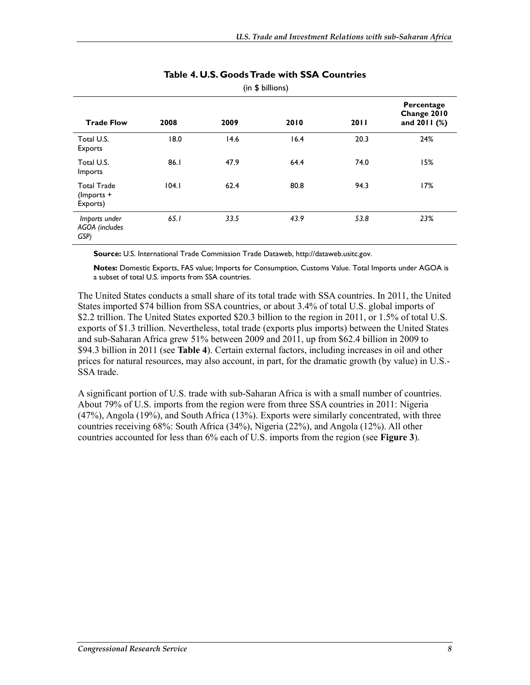| (in \$ 5]                                       |       |      |      |      |                                           |  |
|-------------------------------------------------|-------|------|------|------|-------------------------------------------|--|
| <b>Trade Flow</b>                               | 2008  | 2009 | 2010 | 2011 | Percentage<br>Change 2010<br>and 2011 (%) |  |
| Total U.S.<br>Exports                           | 18.0  | 14.6 | 16.4 | 20.3 | 24%                                       |  |
| Total U.S.<br>Imports                           | 86.1  | 47.9 | 64.4 | 74.0 | 15%                                       |  |
| <b>Total Trade</b><br>$($ lmports +<br>Exports) | 104.1 | 62.4 | 80.8 | 94.3 | 17%                                       |  |
| Imports under<br>AGOA (includes<br>GSP)         | 65.1  | 33.5 | 43.9 | 53.8 | 23%                                       |  |

#### **Table 4. U.S. Goods Trade with SSA Countries**   $\ell$   $\rightarrow$   $\rightarrow$   $\rightarrow$   $\rightarrow$

**Source:** U.S. International Trade Commission Trade Dataweb, http://dataweb.usitc.gov.

**Notes:** Domestic Exports, FAS value; Imports for Consumption, Customs Value. Total Imports under AGOA is a subset of total U.S. imports from SSA countries.

The United States conducts a small share of its total trade with SSA countries. In 2011, the United States imported \$74 billion from SSA countries, or about 3.4% of total U.S. global imports of \$2.2 trillion. The United States exported \$20.3 billion to the region in 2011, or 1.5% of total U.S. exports of \$1.3 trillion. Nevertheless, total trade (exports plus imports) between the United States and sub-Saharan Africa grew 51% between 2009 and 2011, up from \$62.4 billion in 2009 to \$94.3 billion in 2011 (see **Table 4**). Certain external factors, including increases in oil and other prices for natural resources, may also account, in part, for the dramatic growth (by value) in U.S.- SSA trade.

A significant portion of U.S. trade with sub-Saharan Africa is with a small number of countries. About 79% of U.S. imports from the region were from three SSA countries in 2011: Nigeria (47%), Angola (19%), and South Africa (13%). Exports were similarly concentrated, with three countries receiving 68%: South Africa (34%), Nigeria (22%), and Angola (12%). All other countries accounted for less than 6% each of U.S. imports from the region (see **Figure 3**).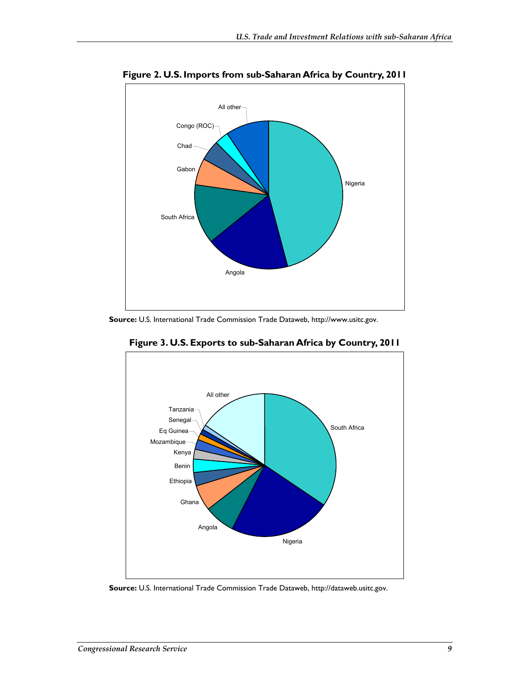

**Figure 2. U.S. Imports from sub-Saharan Africa by Country, 2011** 

**Source:** U.S. International Trade Commission Trade Dataweb, http://www.usitc.gov.



**Figure 3. U.S. Exports to sub-Saharan Africa by Country, 2011** 

**Source:** U.S. International Trade Commission Trade Dataweb, http://dataweb.usitc.gov.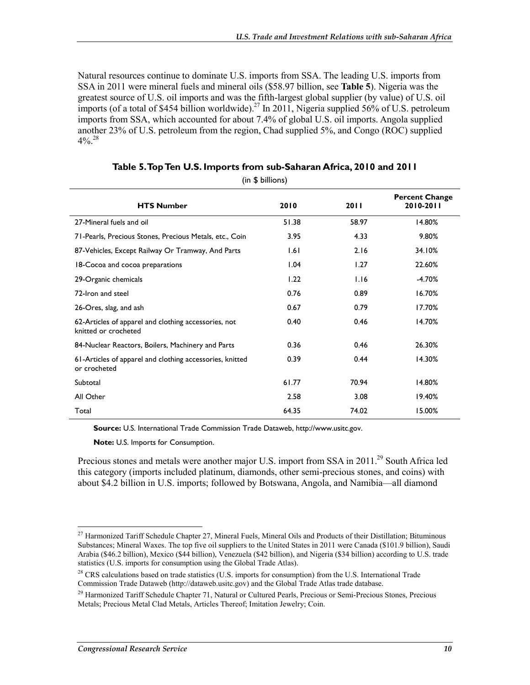Natural resources continue to dominate U.S. imports from SSA. The leading U.S. imports from SSA in 2011 were mineral fuels and mineral oils (\$58.97 billion, see **Table 5**). Nigeria was the greatest source of U.S. oil imports and was the fifth-largest global supplier (by value) of U.S. oil imports (of a total of \$454 billion worldwide).<sup>27</sup> In 2011, Nigeria supplied 56% of U.S. petroleum imports from SSA, which accounted for about 7.4% of global U.S. oil imports. Angola supplied another 23% of U.S. petroleum from the region, Chad supplied 5%, and Congo (ROC) supplied  $4\%$ <sup>28</sup>

| <b>HTS Number</b>                                                            | 2010  | <b>2011</b> | <b>Percent Change</b><br>2010-2011 |
|------------------------------------------------------------------------------|-------|-------------|------------------------------------|
| 27-Mineral fuels and oil                                                     | 51.38 | 58.97       | 14.80%                             |
| 71-Pearls, Precious Stones, Precious Metals, etc., Coin                      | 3.95  | 4.33        | 9.80%                              |
| 87-Vehicles, Except Railway Or Tramway, And Parts                            | 1.61  | 2.16        | 34.10%                             |
| 18-Cocoa and cocoa preparations                                              | 1.04  | 1.27        | 22.60%                             |
| 29-Organic chemicals                                                         | 1.22  | 1.16        | $-4.70%$                           |
| 72-Iron and steel                                                            | 0.76  | 0.89        | 16.70%                             |
| 26-Ores, slag, and ash                                                       | 0.67  | 0.79        | 17.70%                             |
| 62-Articles of apparel and clothing accessories, not<br>knitted or crocheted | 0.40  | 0.46        | 14.70%                             |
| 84-Nuclear Reactors, Boilers, Machinery and Parts                            | 0.36  | 0.46        | 26.30%                             |
| 61-Articles of apparel and clothing accessories, knitted<br>or crocheted     | 0.39  | 0.44        | 14.30%                             |
| Subtotal                                                                     | 61.77 | 70.94       | 14.80%                             |
| All Other                                                                    | 2.58  | 3.08        | 19.40%                             |
| Total                                                                        | 64.35 | 74.02       | 15.00%                             |

**Table 5. Top Ten U.S. Imports from sub-Saharan Africa, 2010 and 2011**  (in \$ billions)

**Source:** U.S. International Trade Commission Trade Dataweb, http://www.usitc.gov.

**Note:** U.S. Imports for Consumption.

Precious stones and metals were another major U.S. import from SSA in 2011.<sup>29</sup> South Africa led this category (imports included platinum, diamonds, other semi-precious stones, and coins) with about \$4.2 billion in U.S. imports; followed by Botswana, Angola, and Namibia—all diamond

<sup>&</sup>lt;sup>27</sup> Harmonized Tariff Schedule Chapter 27, Mineral Fuels, Mineral Oils and Products of their Distillation; Bituminous Substances; Mineral Waxes. The top five oil suppliers to the United States in 2011 were Canada (\$101.9 billion), Saudi Arabia (\$46.2 billion), Mexico (\$44 billion), Venezuela (\$42 billion), and Nigeria (\$34 billion) according to U.S. trade statistics (U.S. imports for consumption using the Global Trade Atlas).

<sup>&</sup>lt;sup>28</sup> CRS calculations based on trade statistics (U.S. imports for consumption) from the U.S. International Trade Commission Trade Dataweb (http://dataweb.usitc.gov) and the Global Trade Atlas trade database.

 $^{29}$  Harmonized Tariff Schedule Chapter 71, Natural or Cultured Pearls, Precious or Semi-Precious Stones, Precious Metals; Precious Metal Clad Metals, Articles Thereof; Imitation Jewelry; Coin.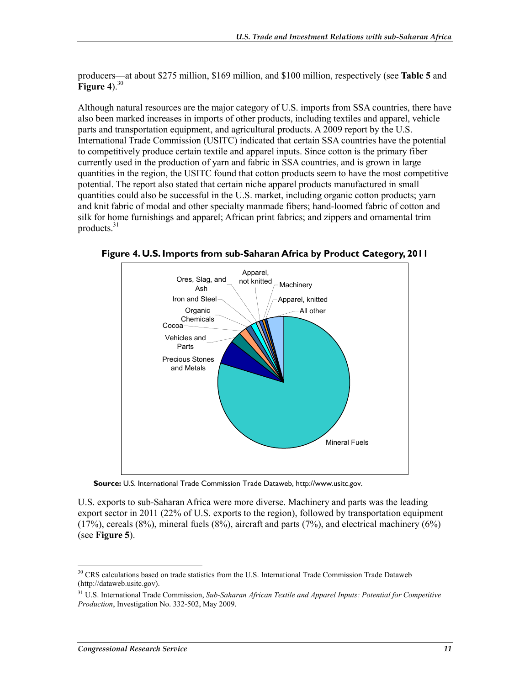producers—at about \$275 million, \$169 million, and \$100 million, respectively (see **Table 5** and **Figure 4**).<sup>30</sup>

Although natural resources are the major category of U.S. imports from SSA countries, there have also been marked increases in imports of other products, including textiles and apparel, vehicle parts and transportation equipment, and agricultural products. A 2009 report by the U.S. International Trade Commission (USITC) indicated that certain SSA countries have the potential to competitively produce certain textile and apparel inputs. Since cotton is the primary fiber currently used in the production of yarn and fabric in SSA countries, and is grown in large quantities in the region, the USITC found that cotton products seem to have the most competitive potential. The report also stated that certain niche apparel products manufactured in small quantities could also be successful in the U.S. market, including organic cotton products; yarn and knit fabric of modal and other specialty manmade fibers; hand-loomed fabric of cotton and silk for home furnishings and apparel; African print fabrics; and zippers and ornamental trim products.31



**Figure 4. U.S. Imports from sub-Saharan Africa by Product Category, 2011** 

**Source:** U.S. International Trade Commission Trade Dataweb, http://www.usitc.gov.

U.S. exports to sub-Saharan Africa were more diverse. Machinery and parts was the leading export sector in 2011 (22% of U.S. exports to the region), followed by transportation equipment  $(17%)$ , cereals  $(8%)$ , mineral fuels  $(8%)$ , aircraft and parts  $(7%)$ , and electrical machinery  $(6%)$ (see **Figure 5**).

<sup>&</sup>lt;sup>30</sup> CRS calculations based on trade statistics from the U.S. International Trade Commission Trade Dataweb (http://dataweb.usitc.gov).

<sup>31</sup> U.S. International Trade Commission, *Sub-Saharan African Textile and Apparel Inputs: Potential for Competitive Production*, Investigation No. 332-502, May 2009.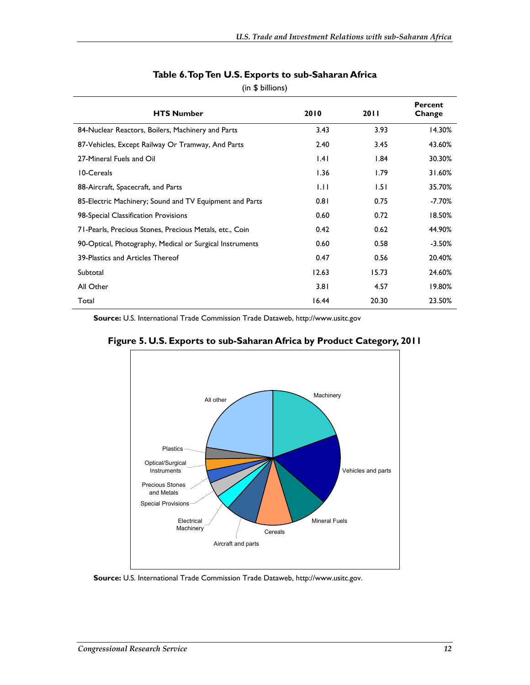| <b>HTS Number</b>                                        | 2010  | 2011  | Percent<br>Change |
|----------------------------------------------------------|-------|-------|-------------------|
| 84-Nuclear Reactors, Boilers, Machinery and Parts        | 3.43  | 3.93  | 14.30%            |
| 87-Vehicles, Except Railway Or Tramway, And Parts        | 2.40  | 3.45  | 43.60%            |
| 27-Mineral Fuels and Oil                                 | 1.41  | 1.84  | 30.30%            |
| 10-Cereals                                               | 1.36  | 1.79  | 31.60%            |
| 88-Aircraft, Spacecraft, and Parts                       | 1.11  | 1.51  | 35.70%            |
| 85-Electric Machinery; Sound and TV Equipment and Parts  | 0.81  | 0.75  | -7.70%            |
| 98-Special Classification Provisions                     | 0.60  | 0.72  | 18.50%            |
| 71-Pearls, Precious Stones, Precious Metals, etc., Coin  | 0.42  | 0.62  | 44.90%            |
| 90-Optical, Photography, Medical or Surgical Instruments | 0.60  | 0.58  | $-3.50\%$         |
| 39-Plastics and Articles Thereof                         | 0.47  | 0.56  | 20.40%            |
| Subtotal                                                 | 12.63 | 15.73 | 24.60%            |
| All Other                                                | 3.81  | 4.57  | 19.80%            |
| Total                                                    | 16.44 | 20.30 | 23.50%            |

#### **Table 6. Top Ten U.S. Exports to sub-Saharan Africa**

(in \$ billions)

**Source:** U.S. International Trade Commission Trade Dataweb, http://www.usitc.gov



**Figure 5. U.S. Exports to sub-Saharan Africa by Product Category, 2011** 

**Source:** U.S. International Trade Commission Trade Dataweb, http://www.usitc.gov.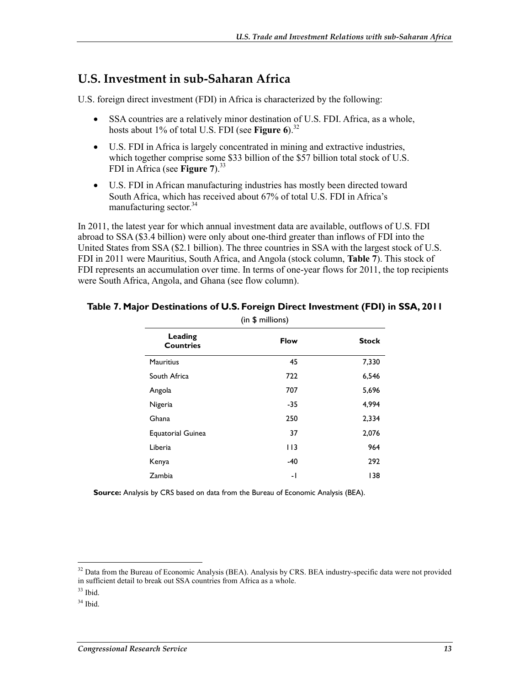## **U.S. Investment in sub-Saharan Africa**

U.S. foreign direct investment (FDI) in Africa is characterized by the following:

- SSA countries are a relatively minor destination of U.S. FDI. Africa, as a whole, hosts about 1% of total U.S. FDI (see **Figure 6**).<sup>32</sup>
- U.S. FDI in Africa is largely concentrated in mining and extractive industries, which together comprise some \$33 billion of the \$57 billion total stock of U.S. FDI in Africa (see **Figure 7**).33
- U.S. FDI in African manufacturing industries has mostly been directed toward South Africa, which has received about 67% of total U.S. FDI in Africa's manufacturing sector. $34$

In 2011, the latest year for which annual investment data are available, outflows of U.S. FDI abroad to SSA (\$3.4 billion) were only about one-third greater than inflows of FDI into the United States from SSA (\$2.1 billion). The three countries in SSA with the largest stock of U.S. FDI in 2011 were Mauritius, South Africa, and Angola (stock column, **Table 7**). This stock of FDI represents an accumulation over time. In terms of one-year flows for 2011, the top recipients were South Africa, Angola, and Ghana (see flow column).

| (in \$ millions)            |                          |              |  |
|-----------------------------|--------------------------|--------------|--|
| Leading<br><b>Countries</b> | <b>Flow</b>              | <b>Stock</b> |  |
| <b>Mauritius</b>            | 45                       | 7,330        |  |
| South Africa                | 722                      | 6,546        |  |
| Angola                      | 707                      | 5,696        |  |
| Nigeria                     | -35                      | 4,994        |  |
| Ghana                       | 250                      | 2,334        |  |
| <b>Equatorial Guinea</b>    | 37                       | 2,076        |  |
| Liberia                     | I I 3                    | 964          |  |
| Kenya                       | -40                      | 292          |  |
| Zambia                      | $\overline{\phantom{0}}$ | 138          |  |

#### **Table 7. Major Destinations of U.S. Foreign Direct Investment (FDI) in SSA, 2011**

**Source:** Analysis by CRS based on data from the Bureau of Economic Analysis (BEA).

 $32$  Data from the Bureau of Economic Analysis (BEA). Analysis by CRS. BEA industry-specific data were not provided in sufficient detail to break out SSA countries from Africa as a whole.

 $33$  Ibid.

 $34$  Ibid.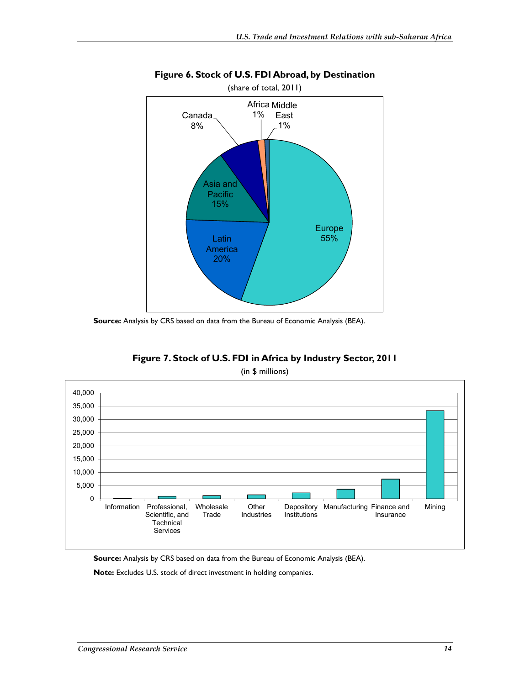

#### **Figure 6. Stock of U.S. FDI Abroad, by Destination**

**Source:** Analysis by CRS based on data from the Bureau of Economic Analysis (BEA).

**Figure 7. Stock of U.S. FDI in Africa by Industry Sector, 2011** 





**Source:** Analysis by CRS based on data from the Bureau of Economic Analysis (BEA).

**Note:** Excludes U.S. stock of direct investment in holding companies.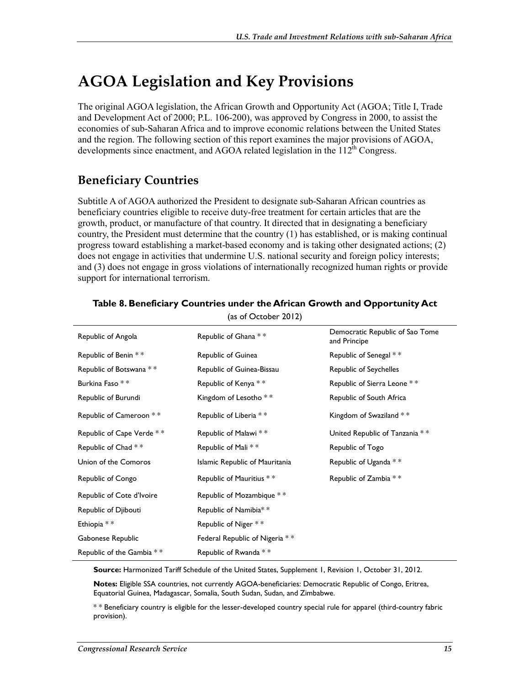# **AGOA Legislation and Key Provisions**

The original AGOA legislation, the African Growth and Opportunity Act (AGOA; Title I, Trade and Development Act of 2000; P.L. 106-200), was approved by Congress in 2000, to assist the economies of sub-Saharan Africa and to improve economic relations between the United States and the region. The following section of this report examines the major provisions of AGOA, developments since enactment, and AGOA related legislation in the  $112<sup>th</sup>$  Congress.

# **Beneficiary Countries**

Subtitle A of AGOA authorized the President to designate sub-Saharan African countries as beneficiary countries eligible to receive duty-free treatment for certain articles that are the growth, product, or manufacture of that country. It directed that in designating a beneficiary country, the President must determine that the country (1) has established, or is making continual progress toward establishing a market-based economy and is taking other designated actions; (2) does not engage in activities that undermine U.S. national security and foreign policy interests; and (3) does not engage in gross violations of internationally recognized human rights or provide support for international terrorism.

| (as of October 2012)      |                                |                                                 |  |
|---------------------------|--------------------------------|-------------------------------------------------|--|
| Republic of Angola        | Republic of Ghana **           | Democratic Republic of Sao Tome<br>and Principe |  |
| Republic of Benin **      | Republic of Guinea             | Republic of Senegal **                          |  |
| Republic of Botswana **   | Republic of Guinea-Bissau      | Republic of Seychelles                          |  |
| Burkina Faso * *          | Republic of Kenya **           | Republic of Sierra Leone **                     |  |
| Republic of Burundi       | Kingdom of Lesotho **          | Republic of South Africa                        |  |
| Republic of Cameroon **   | Republic of Liberia **         | Kingdom of Swaziland **                         |  |
| Republic of Cape Verde ** | Republic of Malawi **          | United Republic of Tanzania **                  |  |
| Republic of Chad **       | Republic of Mali **            | Republic of Togo                                |  |
| Union of the Comoros      | Islamic Republic of Mauritania | Republic of Uganda **                           |  |
| Republic of Congo         | Republic of Mauritius **       | Republic of Zambia **                           |  |
| Republic of Cote d'Ivoire | Republic of Mozambique **      |                                                 |  |
| Republic of Djibouti      | Republic of Namibia**          |                                                 |  |
| Ethiopia * *              | Republic of Niger **           |                                                 |  |
| Gabonese Republic         | Federal Republic of Nigeria ** |                                                 |  |
| Republic of the Gambia ** | Republic of Rwanda **          |                                                 |  |

#### **Table 8. Beneficiary Countries under the African Growth and Opportunity Act**

**Source:** Harmonized Tariff Schedule of the United States, Supplement 1, Revision 1, October 31, 2012.

**Notes:** Eligible SSA countries, not currently AGOA-beneficiaries: Democratic Republic of Congo, Eritrea, Equatorial Guinea, Madagascar, Somalia, South Sudan, Sudan, and Zimbabwe.

\* \* Beneficiary country is eligible for the lesser-developed country special rule for apparel (third-country fabric provision).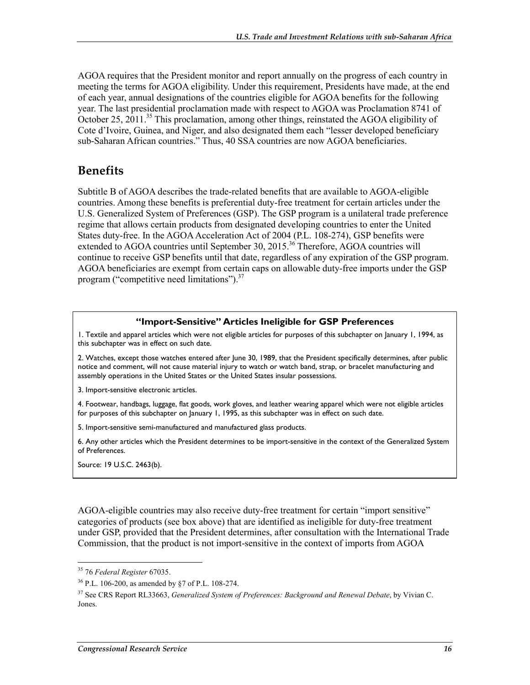AGOA requires that the President monitor and report annually on the progress of each country in meeting the terms for AGOA eligibility. Under this requirement, Presidents have made, at the end of each year, annual designations of the countries eligible for AGOA benefits for the following year. The last presidential proclamation made with respect to AGOA was Proclamation 8741 of October 25, 2011.<sup>35</sup> This proclamation, among other things, reinstated the AGOA eligibility of Cote d'Ivoire, Guinea, and Niger, and also designated them each "lesser developed beneficiary sub-Saharan African countries." Thus, 40 SSA countries are now AGOA beneficiaries.

## **Benefits**

Subtitle B of AGOA describes the trade-related benefits that are available to AGOA-eligible countries. Among these benefits is preferential duty-free treatment for certain articles under the U.S. Generalized System of Preferences (GSP). The GSP program is a unilateral trade preference regime that allows certain products from designated developing countries to enter the United States duty-free. In the AGOA Acceleration Act of 2004 (P.L. 108-274), GSP benefits were extended to AGOA countries until September 30, 2015.<sup>36</sup> Therefore, AGOA countries will continue to receive GSP benefits until that date, regardless of any expiration of the GSP program. AGOA beneficiaries are exempt from certain caps on allowable duty-free imports under the GSP program ("competitive need limitations").<sup>37</sup>

#### **"Import-Sensitive" Articles Ineligible for GSP Preferences**

1. Textile and apparel articles which were not eligible articles for purposes of this subchapter on January 1, 1994, as this subchapter was in effect on such date.

2. Watches, except those watches entered after June 30, 1989, that the President specifically determines, after public notice and comment, will not cause material injury to watch or watch band, strap, or bracelet manufacturing and assembly operations in the United States or the United States insular possessions.

3. Import-sensitive electronic articles.

4. Footwear, handbags, luggage, flat goods, work gloves, and leather wearing apparel which were not eligible articles for purposes of this subchapter on January 1, 1995, as this subchapter was in effect on such date.

5. Import-sensitive semi-manufactured and manufactured glass products.

6. Any other articles which the President determines to be import-sensitive in the context of the Generalized System of Preferences.

Source: 19 U.S.C. 2463(b).

AGOA-eligible countries may also receive duty-free treatment for certain "import sensitive" categories of products (see box above) that are identified as ineligible for duty-free treatment under GSP, provided that the President determines, after consultation with the International Trade Commission, that the product is not import-sensitive in the context of imports from AGOA

<sup>1</sup> 35 76 *Federal Register* 67035.

<sup>36</sup> P.L. 106-200, as amended by §7 of P.L. 108-274.

<sup>&</sup>lt;sup>37</sup> See CRS Report RL33663, *Generalized System of Preferences: Background and Renewal Debate*, by Vivian C. Jones.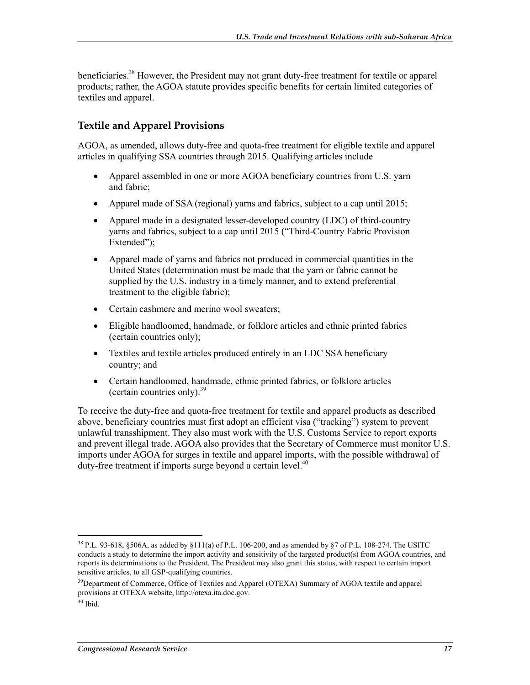beneficiaries.<sup>38</sup> However, the President may not grant duty-free treatment for textile or apparel products; rather, the AGOA statute provides specific benefits for certain limited categories of textiles and apparel.

#### **Textile and Apparel Provisions**

AGOA, as amended, allows duty-free and quota-free treatment for eligible textile and apparel articles in qualifying SSA countries through 2015. Qualifying articles include

- Apparel assembled in one or more AGOA beneficiary countries from U.S. yarn and fabric;
- Apparel made of SSA (regional) yarns and fabrics, subject to a cap until 2015;
- Apparel made in a designated lesser-developed country (LDC) of third-country yarns and fabrics, subject to a cap until 2015 ("Third-Country Fabric Provision Extended");
- Apparel made of yarns and fabrics not produced in commercial quantities in the United States (determination must be made that the yarn or fabric cannot be supplied by the U.S. industry in a timely manner, and to extend preferential treatment to the eligible fabric);
- Certain cashmere and merino wool sweaters;
- Eligible handloomed, handmade, or folklore articles and ethnic printed fabrics (certain countries only);
- Textiles and textile articles produced entirely in an LDC SSA beneficiary country; and
- Certain handloomed, handmade, ethnic printed fabrics, or folklore articles (certain countries only). $39$

To receive the duty-free and quota-free treatment for textile and apparel products as described above, beneficiary countries must first adopt an efficient visa ("tracking") system to prevent unlawful transshipment. They also must work with the U.S. Customs Service to report exports and prevent illegal trade. AGOA also provides that the Secretary of Commerce must monitor U.S. imports under AGOA for surges in textile and apparel imports, with the possible withdrawal of duty-free treatment if imports surge beyond a certain level.<sup>40</sup>

 $38$  P.L. 93-618, §506A, as added by §111(a) of P.L. 106-200, and as amended by §7 of P.L. 108-274. The USITC conducts a study to determine the import activity and sensitivity of the targeted product(s) from AGOA countries, and reports its determinations to the President. The President may also grant this status, with respect to certain import sensitive articles, to all GSP-qualifying countries.

<sup>&</sup>lt;sup>39</sup>Department of Commerce, Office of Textiles and Apparel (OTEXA) Summary of AGOA textile and apparel provisions at OTEXA website, http://otexa.ita.doc.gov.

 $40$  Ibid.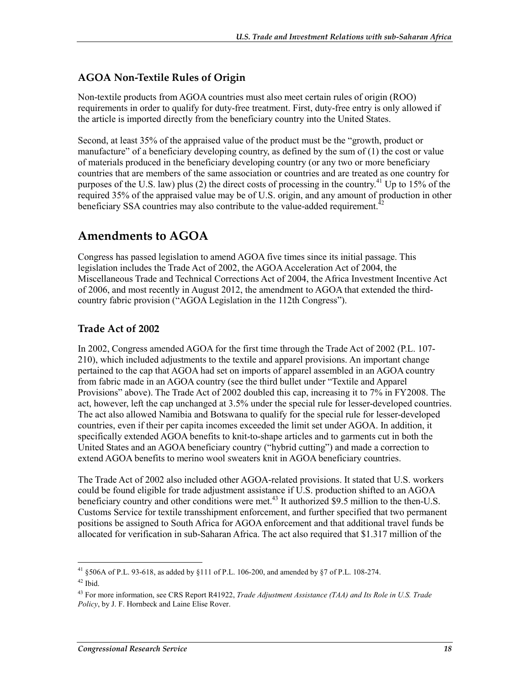### **AGOA Non-Textile Rules of Origin**

Non-textile products from AGOA countries must also meet certain rules of origin (ROO) requirements in order to qualify for duty-free treatment. First, duty-free entry is only allowed if the article is imported directly from the beneficiary country into the United States.

Second, at least 35% of the appraised value of the product must be the "growth, product or manufacture" of a beneficiary developing country, as defined by the sum of (1) the cost or value of materials produced in the beneficiary developing country (or any two or more beneficiary countries that are members of the same association or countries and are treated as one country for purposes of the U.S. law) plus (2) the direct costs of processing in the country.<sup>41</sup> Up to 15% of the required 35% of the appraised value may be of U.S. origin, and any amount of production in other beneficiary SSA countries may also contribute to the value-added requirement.<sup>42</sup>

## **Amendments to AGOA**

Congress has passed legislation to amend AGOA five times since its initial passage. This legislation includes the Trade Act of 2002, the AGOA Acceleration Act of 2004, the Miscellaneous Trade and Technical Corrections Act of 2004, the Africa Investment Incentive Act of 2006, and most recently in August 2012, the amendment to AGOA that extended the thirdcountry fabric provision ("AGOA Legislation in the 112th Congress").

### **Trade Act of 2002**

In 2002, Congress amended AGOA for the first time through the Trade Act of 2002 (P.L. 107- 210), which included adjustments to the textile and apparel provisions. An important change pertained to the cap that AGOA had set on imports of apparel assembled in an AGOA country from fabric made in an AGOA country (see the third bullet under "Textile and Apparel Provisions" above). The Trade Act of 2002 doubled this cap, increasing it to 7% in FY2008. The act, however, left the cap unchanged at 3.5% under the special rule for lesser-developed countries. The act also allowed Namibia and Botswana to qualify for the special rule for lesser-developed countries, even if their per capita incomes exceeded the limit set under AGOA. In addition, it specifically extended AGOA benefits to knit-to-shape articles and to garments cut in both the United States and an AGOA beneficiary country ("hybrid cutting") and made a correction to extend AGOA benefits to merino wool sweaters knit in AGOA beneficiary countries.

The Trade Act of 2002 also included other AGOA-related provisions. It stated that U.S. workers could be found eligible for trade adjustment assistance if U.S. production shifted to an AGOA beneficiary country and other conditions were met.<sup>43</sup> It authorized \$9.5 million to the then-U.S. Customs Service for textile transshipment enforcement, and further specified that two permanent positions be assigned to South Africa for AGOA enforcement and that additional travel funds be allocated for verification in sub-Saharan Africa. The act also required that \$1.317 million of the

<sup>1</sup> <sup>41</sup> §506A of P.L. 93-618, as added by §111 of P.L. 106-200, and amended by §7 of P.L. 108-274.

 $42$  Ibid.

<sup>43</sup> For more information, see CRS Report R41922, *Trade Adjustment Assistance (TAA) and Its Role in U.S. Trade Policy*, by J. F. Hornbeck and Laine Elise Rover.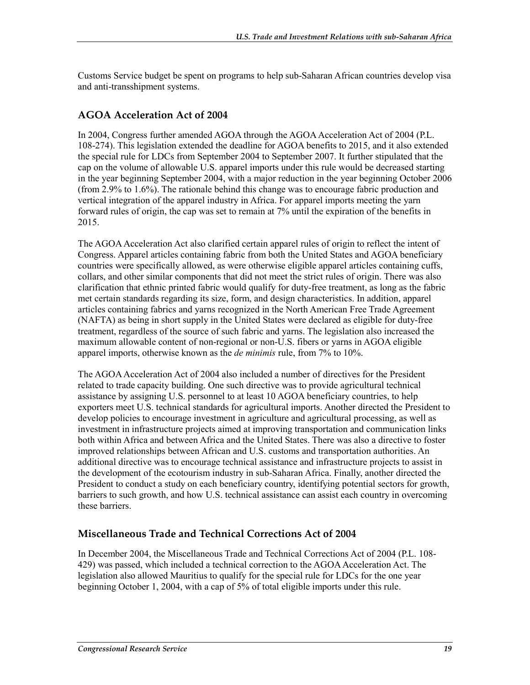Customs Service budget be spent on programs to help sub-Saharan African countries develop visa and anti-transshipment systems.

### **AGOA Acceleration Act of 2004**

In 2004, Congress further amended AGOA through the AGOA Acceleration Act of 2004 (P.L. 108-274). This legislation extended the deadline for AGOA benefits to 2015, and it also extended the special rule for LDCs from September 2004 to September 2007. It further stipulated that the cap on the volume of allowable U.S. apparel imports under this rule would be decreased starting in the year beginning September 2004, with a major reduction in the year beginning October 2006 (from 2.9% to 1.6%). The rationale behind this change was to encourage fabric production and vertical integration of the apparel industry in Africa. For apparel imports meeting the yarn forward rules of origin, the cap was set to remain at 7% until the expiration of the benefits in 2015.

The AGOA Acceleration Act also clarified certain apparel rules of origin to reflect the intent of Congress. Apparel articles containing fabric from both the United States and AGOA beneficiary countries were specifically allowed, as were otherwise eligible apparel articles containing cuffs, collars, and other similar components that did not meet the strict rules of origin. There was also clarification that ethnic printed fabric would qualify for duty-free treatment, as long as the fabric met certain standards regarding its size, form, and design characteristics. In addition, apparel articles containing fabrics and yarns recognized in the North American Free Trade Agreement (NAFTA) as being in short supply in the United States were declared as eligible for duty-free treatment, regardless of the source of such fabric and yarns. The legislation also increased the maximum allowable content of non-regional or non-U.S. fibers or yarns in AGOA eligible apparel imports, otherwise known as the *de minimis* rule, from 7% to 10%.

The AGOA Acceleration Act of 2004 also included a number of directives for the President related to trade capacity building. One such directive was to provide agricultural technical assistance by assigning U.S. personnel to at least 10 AGOA beneficiary countries, to help exporters meet U.S. technical standards for agricultural imports. Another directed the President to develop policies to encourage investment in agriculture and agricultural processing, as well as investment in infrastructure projects aimed at improving transportation and communication links both within Africa and between Africa and the United States. There was also a directive to foster improved relationships between African and U.S. customs and transportation authorities. An additional directive was to encourage technical assistance and infrastructure projects to assist in the development of the ecotourism industry in sub-Saharan Africa. Finally, another directed the President to conduct a study on each beneficiary country, identifying potential sectors for growth, barriers to such growth, and how U.S. technical assistance can assist each country in overcoming these barriers.

### **Miscellaneous Trade and Technical Corrections Act of 2004**

In December 2004, the Miscellaneous Trade and Technical Corrections Act of 2004 (P.L. 108- 429) was passed, which included a technical correction to the AGOA Acceleration Act. The legislation also allowed Mauritius to qualify for the special rule for LDCs for the one year beginning October 1, 2004, with a cap of 5% of total eligible imports under this rule.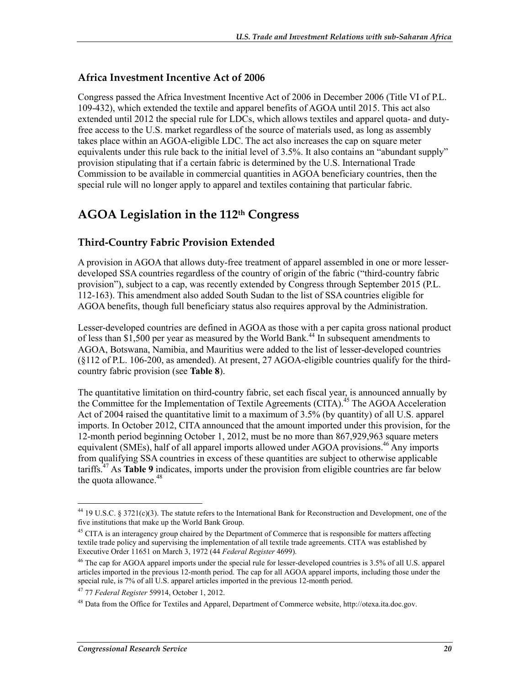### **Africa Investment Incentive Act of 2006**

Congress passed the Africa Investment Incentive Act of 2006 in December 2006 (Title VI of P.L. 109-432), which extended the textile and apparel benefits of AGOA until 2015. This act also extended until 2012 the special rule for LDCs, which allows textiles and apparel quota- and dutyfree access to the U.S. market regardless of the source of materials used, as long as assembly takes place within an AGOA-eligible LDC. The act also increases the cap on square meter equivalents under this rule back to the initial level of 3.5%. It also contains an "abundant supply" provision stipulating that if a certain fabric is determined by the U.S. International Trade Commission to be available in commercial quantities in AGOA beneficiary countries, then the special rule will no longer apply to apparel and textiles containing that particular fabric.

# **AGOA Legislation in the 112th Congress**

### **Third-Country Fabric Provision Extended**

A provision in AGOA that allows duty-free treatment of apparel assembled in one or more lesserdeveloped SSA countries regardless of the country of origin of the fabric ("third-country fabric provision"), subject to a cap, was recently extended by Congress through September 2015 (P.L. 112-163). This amendment also added South Sudan to the list of SSA countries eligible for AGOA benefits, though full beneficiary status also requires approval by the Administration.

Lesser-developed countries are defined in AGOA as those with a per capita gross national product of less than \$1,500 per year as measured by the World Bank.<sup>44</sup> In subsequent amendments to AGOA, Botswana, Namibia, and Mauritius were added to the list of lesser-developed countries (§112 of P.L. 106-200, as amended). At present, 27 AGOA-eligible countries qualify for the thirdcountry fabric provision (see **Table 8**).

The quantitative limitation on third-country fabric, set each fiscal year, is announced annually by the Committee for the Implementation of Textile Agreements (CITA).<sup>45</sup> The AGOA Acceleration Act of 2004 raised the quantitative limit to a maximum of 3.5% (by quantity) of all U.S. apparel imports. In October 2012, CITA announced that the amount imported under this provision, for the 12-month period beginning October 1, 2012, must be no more than 867,929,963 square meters equivalent (SMEs), half of all apparel imports allowed under AGOA provisions.<sup>46</sup> Any imports from qualifying SSA countries in excess of these quantities are subject to otherwise applicable tariffs.47 As **Table 9** indicates, imports under the provision from eligible countries are far below the quota allowance.<sup>48</sup>

<sup>1</sup> 44 19 U.S.C. § 3721(c)(3). The statute refers to the International Bank for Reconstruction and Development, one of the five institutions that make up the World Bank Group.

<sup>&</sup>lt;sup>45</sup> CITA is an interagency group chaired by the Department of Commerce that is responsible for matters affecting textile trade policy and supervising the implementation of all textile trade agreements. CITA was established by Executive Order 11651 on March 3, 1972 (44 *Federal Register* 4699).

 $46$  The cap for AGOA apparel imports under the special rule for lesser-developed countries is  $3.5\%$  of all U.S. apparel articles imported in the previous 12-month period. The cap for all AGOA apparel imports, including those under the special rule, is 7% of all U.S. apparel articles imported in the previous 12-month period.

<sup>47 77</sup> *Federal Register* 59914, October 1, 2012.

<sup>48</sup> Data from the Office for Textiles and Apparel, Department of Commerce website, http://otexa.ita.doc.gov.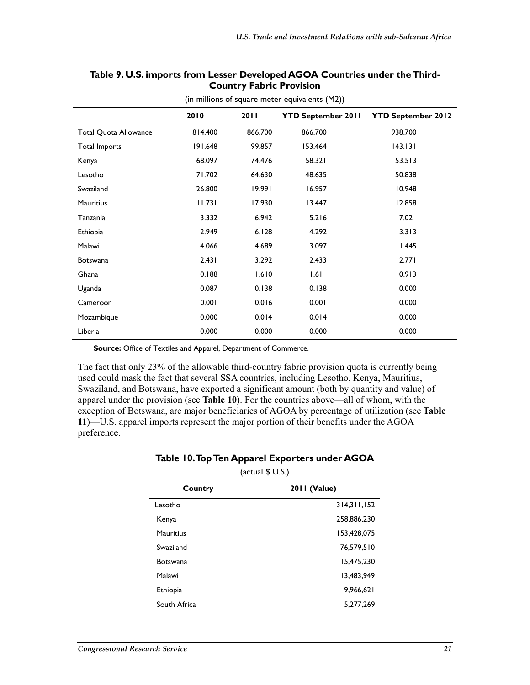|                              | 2010    | 20 I I  | <b>YTD September 2011</b> | <b>YTD September 2012</b> |
|------------------------------|---------|---------|---------------------------|---------------------------|
| <b>Total Quota Allowance</b> | 814.400 | 866.700 | 866.700                   | 938.700                   |
| Total Imports                | 191.648 | 199.857 | 153.464                   | 143.131                   |
| Kenya                        | 68.097  | 74.476  | 58.321                    | 53.513                    |
| Lesotho                      | 71.702  | 64.630  | 48.635                    | 50.838                    |
| Swaziland                    | 26.800  | 19.991  | 16.957                    | 10.948                    |
| <b>Mauritius</b>             | 11.731  | 17.930  | 13.447                    | 12.858                    |
| Tanzania                     | 3.332   | 6.942   | 5.216                     | 7.02                      |
| Ethiopia                     | 2.949   | 6.128   | 4.292                     | 3.313                     |
| Malawi                       | 4.066   | 4.689   | 3.097                     | 1.445                     |
| <b>Botswana</b>              | 2.431   | 3.292   | 2.433                     | 2.771                     |
| Ghana                        | 0.188   | 1.610   | 1.61                      | 0.913                     |
| Uganda                       | 0.087   | 0.138   | 0.138                     | 0.000                     |
| Cameroon                     | 0.001   | 0.016   | 0.001                     | 0.000                     |
| Mozambique                   | 0.000   | 0.014   | 0.014                     | 0.000                     |
| Liberia                      | 0.000   | 0.000   | 0.000                     | 0.000                     |

#### **Table 9. U.S. imports from Lesser Developed AGOA Countries under the Third-Country Fabric Provision**

(in millions of square meter equivalents (M2))

**Source:** Office of Textiles and Apparel, Department of Commerce.

The fact that only 23% of the allowable third-country fabric provision quota is currently being used could mask the fact that several SSA countries, including Lesotho, Kenya, Mauritius, Swaziland, and Botswana, have exported a significant amount (both by quantity and value) of apparel under the provision (see **Table 10**). For the countries above—all of whom, with the exception of Botswana, are major beneficiaries of AGOA by percentage of utilization (see **Table 11**)—U.S. apparel imports represent the major portion of their benefits under the AGOA preference.

#### **Table 10. Top Ten Apparel Exporters under AGOA**

(actual \$ U.S.)

| Country         | 2011 (Value)  |
|-----------------|---------------|
| Lesotho         | 314, 311, 152 |
| Kenya           | 258,886,230   |
| Mauritius       | 153,428,075   |
| Swaziland       | 76,579,510    |
| <b>Botswana</b> | 15,475,230    |
| Malawi          | 13,483,949    |
| Ethiopia        | 9,966,621     |
| South Africa    | 5,277,269     |
|                 |               |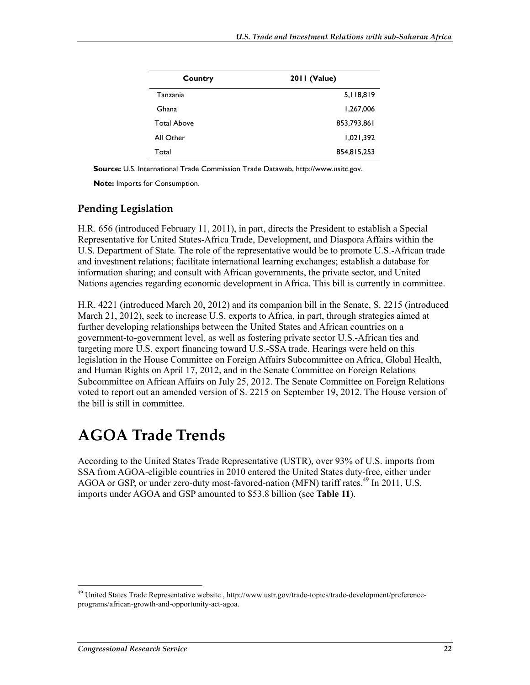| Country            | <b>2011 (Value)</b> |  |
|--------------------|---------------------|--|
| Tanzania           | 5,118,819           |  |
| Ghana              | 1,267,006           |  |
| <b>Total Above</b> | 853,793,861         |  |
| All Other          | 1,021,392           |  |
| Total              | 854,815,253         |  |

**Source:** U.S. International Trade Commission Trade Dataweb, http://www.usitc.gov.

**Note:** Imports for Consumption.

#### **Pending Legislation**

H.R. 656 (introduced February 11, 2011), in part, directs the President to establish a Special Representative for United States-Africa Trade, Development, and Diaspora Affairs within the U.S. Department of State. The role of the representative would be to promote U.S.-African trade and investment relations; facilitate international learning exchanges; establish a database for information sharing; and consult with African governments, the private sector, and United Nations agencies regarding economic development in Africa. This bill is currently in committee.

H.R. 4221 (introduced March 20, 2012) and its companion bill in the Senate, S. 2215 (introduced March 21, 2012), seek to increase U.S. exports to Africa, in part, through strategies aimed at further developing relationships between the United States and African countries on a government-to-government level, as well as fostering private sector U.S.-African ties and targeting more U.S. export financing toward U.S.-SSA trade. Hearings were held on this legislation in the House Committee on Foreign Affairs Subcommittee on Africa, Global Health, and Human Rights on April 17, 2012, and in the Senate Committee on Foreign Relations Subcommittee on African Affairs on July 25, 2012. The Senate Committee on Foreign Relations voted to report out an amended version of S. 2215 on September 19, 2012. The House version of the bill is still in committee.

# **AGOA Trade Trends**

According to the United States Trade Representative (USTR), over 93% of U.S. imports from SSA from AGOA-eligible countries in 2010 entered the United States duty-free, either under AGOA or GSP, or under zero-duty most-favored-nation (MFN) tariff rates.<sup>49</sup> In 2011, U.S. imports under AGOA and GSP amounted to \$53.8 billion (see **Table 11**).

<sup>&</sup>lt;sup>49</sup> United States Trade Representative website, http://www.ustr.gov/trade-topics/trade-development/preferenceprograms/african-growth-and-opportunity-act-agoa.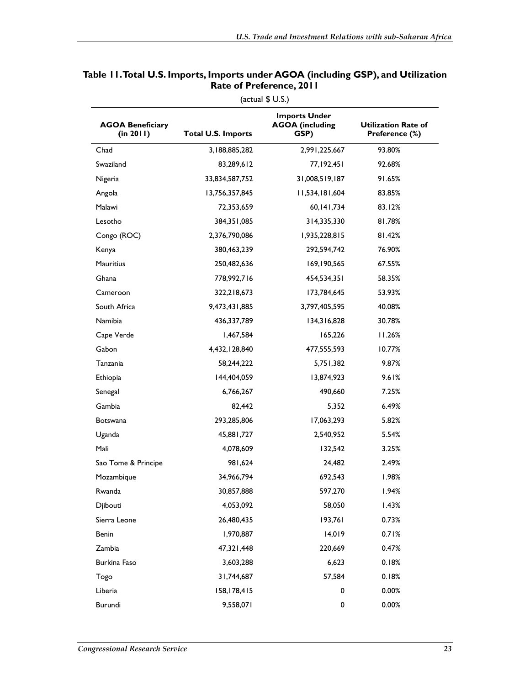| <b>AGOA Beneficiary</b><br>(in 2011) | <b>Total U.S. Imports</b> | <b>Imports Under</b><br><b>AGOA</b> (including<br>GSP) | <b>Utilization Rate of</b><br>Preference (%) |
|--------------------------------------|---------------------------|--------------------------------------------------------|----------------------------------------------|
| Chad                                 | 3,188,885,282             | 2,991,225,667                                          | 93.80%                                       |
| Swaziland                            | 83,289,612                | 77,192,451                                             | 92.68%                                       |
| Nigeria                              | 33,834,587,752            | 31,008,519,187                                         | 91.65%                                       |
| Angola                               | 13,756,357,845            | 11,534,181,604                                         | 83.85%                                       |
| Malawi                               | 72,353,659                | 60, 141, 734                                           | 83.12%                                       |
| Lesotho                              | 384, 351, 085             | 314,335,330                                            | 81.78%                                       |
| Congo (ROC)                          | 2,376,790,086             | 1,935,228,815                                          | 81.42%                                       |
| Kenya                                | 380,463,239               | 292,594,742                                            | 76.90%                                       |
| <b>Mauritius</b>                     | 250,482,636               | 169, 190, 565                                          | 67.55%                                       |
| Ghana                                | 778,992,716               | 454,534,351                                            | 58.35%                                       |
| Cameroon                             | 322,218,673               | 173,784,645                                            | 53.93%                                       |
| South Africa                         | 9,473,431,885             | 3,797,405,595                                          | 40.08%                                       |
| Namibia                              | 436,337,789               | 134,316,828                                            | 30.78%                                       |
| Cape Verde                           | 1,467,584                 | 165,226                                                | 11.26%                                       |
| Gabon                                | 4,432,128,840             | 477,555,593                                            | 10.77%                                       |
| Tanzania                             | 58,244,222                | 5,751,382                                              | 9.87%                                        |
| Ethiopia                             | 144,404,059               | 13,874,923                                             | 9.61%                                        |
| Senegal                              | 6,766,267                 | 490,660                                                | 7.25%                                        |
| Gambia                               | 82,442                    | 5,352                                                  | 6.49%                                        |
| <b>Botswana</b>                      | 293,285,806               | 17,063,293                                             | 5.82%                                        |
| Uganda                               | 45,881,727                | 2,540,952                                              | 5.54%                                        |
| Mali                                 | 4,078,609                 | 132,542                                                | 3.25%                                        |
| Sao Tome & Principe                  | 981,624                   | 24,482                                                 | 2.49%                                        |
| Mozambique                           | 34,966,794                | 692,543                                                | 1.98%                                        |
| Rwanda                               | 30,857,888                | 597,270                                                | 1.94%                                        |
| Djibouti                             | 4,053,092                 | 58,050                                                 | 1.43%                                        |
| Sierra Leone                         | 26,480,435                | 193.761                                                | 0.73%                                        |
| Benin                                | 1,970,887                 | 14,019                                                 | 0.71%                                        |
| Zambia                               | 47,321,448                | 220,669                                                | 0.47%                                        |
| Burkina Faso                         | 3,603,288                 | 6,623                                                  | 0.18%                                        |
| Togo                                 | 31,744,687                | 57,584                                                 | 0.18%                                        |
| Liberia                              | 158,178,415               | 0                                                      | 0.00%                                        |
| Burundi                              | 9,558,071                 | 0                                                      | 0.00%                                        |

#### **Table 11. Total U.S. Imports, Imports under AGOA (including GSP), and Utilization Rate of Preference, 2011**

(actual \$ U.S.)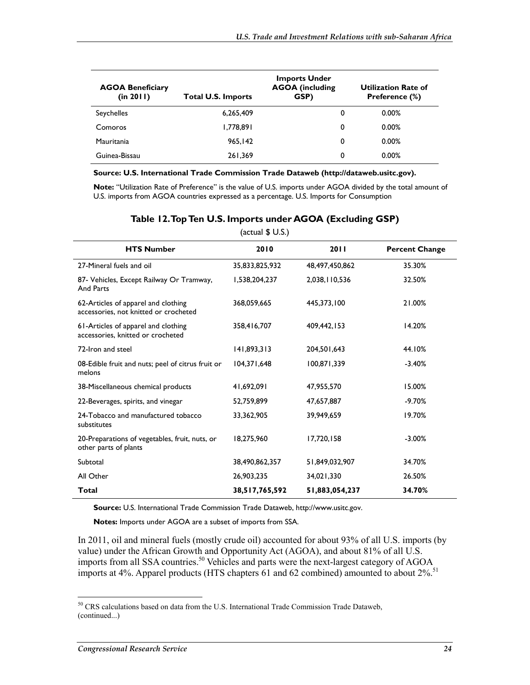| <b>AGOA Beneficiary</b><br>(in 2011) | <b>Total U.S. Imports</b> | <b>Imports Under</b><br><b>AGOA</b> (including<br>GSP) | <b>Utilization Rate of</b><br>Preference (%) |
|--------------------------------------|---------------------------|--------------------------------------------------------|----------------------------------------------|
| Seychelles                           | 6,265,409                 | 0                                                      | 0.00%                                        |
| Comoros                              | 1,778,891                 | 0                                                      | 0.00%                                        |
| Mauritania                           | 965,142                   | 0                                                      | 0.00%                                        |
| Guinea-Bissau                        | 261,369                   | 0                                                      | 0.00%                                        |

#### **Source: U.S. International Trade Commission Trade Dataweb (http://dataweb.usitc.gov).**

**Note:** "Utilization Rate of Preference" is the value of U.S. imports under AGOA divided by the total amount of U.S. imports from AGOA countries expressed as a percentage. U.S. Imports for Consumption

| (actual \$ U.S.)                                                             |                |                |                       |  |
|------------------------------------------------------------------------------|----------------|----------------|-----------------------|--|
| <b>HTS Number</b>                                                            | 2010           | 2011           | <b>Percent Change</b> |  |
| 27-Mineral fuels and oil                                                     | 35,833,825,932 | 48,497,450,862 | 35.30%                |  |
| 87- Vehicles, Except Railway Or Tramway,<br>And Parts                        | 1,538,204,237  | 2,038,110,536  | 32.50%                |  |
| 62-Articles of apparel and clothing<br>accessories, not knitted or crocheted | 368,059,665    | 445,373,100    | 21.00%                |  |
| 61-Articles of apparel and clothing<br>accessories, knitted or crocheted     | 358,416,707    | 409.442.153    | 14.20%                |  |
| 72-Iron and steel                                                            | 141,893,313    | 204.501.643    | 44.10%                |  |
| 08-Edible fruit and nuts; peel of citrus fruit or<br>melons                  | 104,371,648    | 100,871,339    | $-3.40%$              |  |
| 38-Miscellaneous chemical products                                           | 41,692,091     | 47,955,570     | 15.00%                |  |
| 22-Beverages, spirits, and vinegar                                           | 52,759,899     | 47,657,887     | $-9.70%$              |  |
| 24-Tobacco and manufactured tobacco<br>substitutes                           | 33,362,905     | 39,949,659     | 19.70%                |  |
| 20-Preparations of vegetables, fruit, nuts, or<br>other parts of plants      | 18,275,960     | 17,720,158     | $-3.00\%$             |  |
| Subtotal                                                                     | 38,490,862,357 | 51,849,032,907 | 34.70%                |  |
| All Other                                                                    | 26,903,235     | 34,021,330     | 26.50%                |  |
| Total                                                                        | 38,517,765,592 | 51,883,054,237 | 34.70%                |  |

#### **Table 12. Top Ten U.S. Imports under AGOA (Excluding GSP)**

**Source:** U.S. International Trade Commission Trade Dataweb, http://www.usitc.gov.

**Notes:** Imports under AGOA are a subset of imports from SSA.

In 2011, oil and mineral fuels (mostly crude oil) accounted for about 93% of all U.S. imports (by value) under the African Growth and Opportunity Act (AGOA), and about 81% of all U.S. imports from all SSA countries.<sup>50</sup> Vehicles and parts were the next-largest category of AGOA imports at 4%. Apparel products (HTS chapters 61 and 62 combined) amounted to about  $2\%$ <sup>51</sup>

<u>.</u>

<sup>&</sup>lt;sup>50</sup> CRS calculations based on data from the U.S. International Trade Commission Trade Dataweb, (continued...)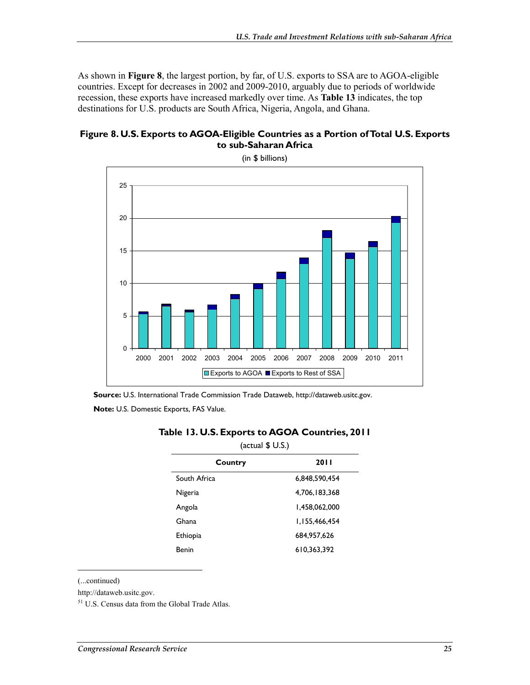As shown in **Figure 8**, the largest portion, by far, of U.S. exports to SSA are to AGOA-eligible countries. Except for decreases in 2002 and 2009-2010, arguably due to periods of worldwide recession, these exports have increased markedly over time. As **Table 13** indicates, the top destinations for U.S. products are South Africa, Nigeria, Angola, and Ghana.





(in \$ billions)

**Source:** U.S. International Trade Commission Trade Dataweb, http://dataweb.usitc.gov. **Note:** U.S. Domestic Exports, FAS Value.

| (actual \$ U.S.)       |               |  |  |  |
|------------------------|---------------|--|--|--|
| <b>2011</b><br>Country |               |  |  |  |
| South Africa           | 6,848,590,454 |  |  |  |
| Nigeria                | 4,706,183,368 |  |  |  |
| Angola                 | 1,458,062,000 |  |  |  |
| Ghana                  | 1,155,466,454 |  |  |  |
| Ethiopia               | 684,957,626   |  |  |  |
| Benin                  | 610.363.392   |  |  |  |

#### **Table 13. U.S. Exports to AGOA Countries, 2011**

(...continued)

1

http://dataweb.usitc.gov.

51 U.S. Census data from the Global Trade Atlas.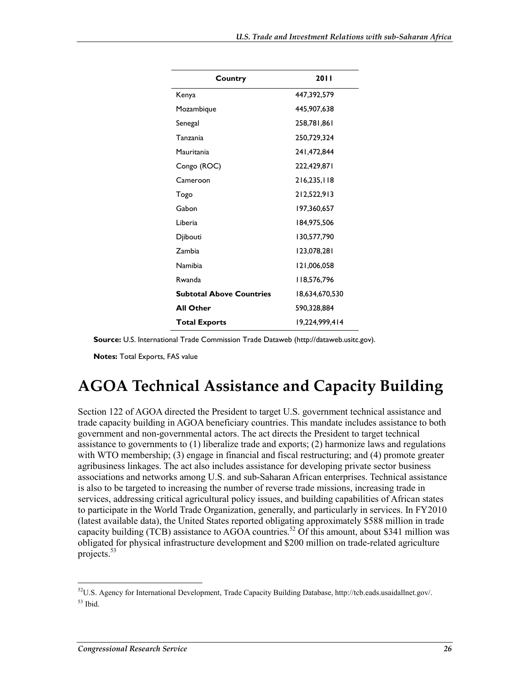| Country                         | 2011           |
|---------------------------------|----------------|
| Kenya                           | 447,392,579    |
| Mozambique                      | 445,907,638    |
| Senegal                         | 258,781,861    |
| Tanzania                        | 250,729,324    |
| Mauritania                      | 241,472,844    |
| Congo (ROC)                     | 222,429,871    |
| Cameroon                        | 216,235,118    |
| Togo                            | 212,522,913    |
| Gabon                           | 197,360,657    |
| Liberia                         | 184,975,506    |
| Djibouti                        | 130,577,790    |
| Zambia                          | 123,078,281    |
| Namibia                         | 121,006,058    |
| Rwanda                          | 118,576,796    |
| <b>Subtotal Above Countries</b> | 18,634,670,530 |
| <b>All Other</b>                | 590,328,884    |
| <b>Total Exports</b>            | 19.224.999.414 |

**Source:** U.S. International Trade Commission Trade Dataweb (http://dataweb.usitc.gov).

**Notes:** Total Exports, FAS value

# **AGOA Technical Assistance and Capacity Building**

Section 122 of AGOA directed the President to target U.S. government technical assistance and trade capacity building in AGOA beneficiary countries. This mandate includes assistance to both government and non-governmental actors. The act directs the President to target technical assistance to governments to (1) liberalize trade and exports; (2) harmonize laws and regulations with WTO membership; (3) engage in financial and fiscal restructuring; and (4) promote greater agribusiness linkages. The act also includes assistance for developing private sector business associations and networks among U.S. and sub-Saharan African enterprises. Technical assistance is also to be targeted to increasing the number of reverse trade missions, increasing trade in services, addressing critical agricultural policy issues, and building capabilities of African states to participate in the World Trade Organization, generally, and particularly in services. In FY2010 (latest available data), the United States reported obligating approximately \$588 million in trade capacity building (TCB) assistance to AGOA countries.<sup>52</sup> Of this amount, about \$341 million was obligated for physical infrastructure development and \$200 million on trade-related agriculture projects.<sup>53</sup>

 $52$ U.S. Agency for International Development, Trade Capacity Building Database, http://tcb.eads.usaidallnet.gov/.  $53$  Ibid.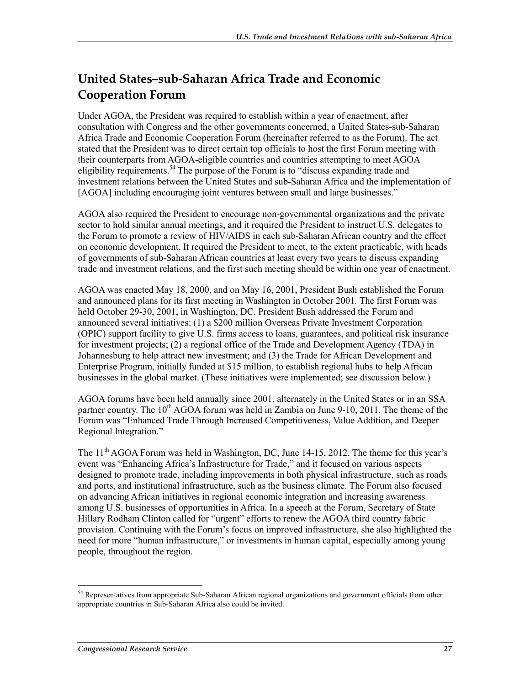# **United States–sub-Saharan Africa Trade and Economic Cooperation Forum**

Under AGOA, the President was required to establish within a year of enactment, after consultation with Congress and the other governments concerned, a United States-sub-Saharan Africa Trade and Economic Cooperation Forum (hereinafter referred to as the Forum). The act stated that the President was to direct certain top officials to host the first Forum meeting with their counterparts from AGOA-eligible countries and countries attempting to meet AGOA eligibility requirements.<sup>54</sup> The purpose of the Forum is to "discuss expanding trade and investment relations between the United States and sub-Saharan Africa and the implementation of [AGOA] including encouraging joint ventures between small and large businesses."

AGOA also required the President to encourage non-governmental organizations and the private sector to hold similar annual meetings, and it required the President to instruct U.S. delegates to the Forum to promote a review of HIV/AIDS in each sub-Saharan African country and the effect on economic development. It required the President to meet, to the extent practicable, with heads of governments of sub-Saharan African countries at least every two years to discuss expanding trade and investment relations, and the first such meeting should be within one year of enactment.

AGOA was enacted May 18, 2000, and on May 16, 2001, President Bush established the Forum and announced plans for its first meeting in Washington in October 2001. The first Forum was held October 29-30, 2001, in Washington, DC. President Bush addressed the Forum and announced several initiatives: (1) a \$200 million Overseas Private Investment Corporation (OPIC) support facility to give U.S. firms access to loans, guarantees, and political risk insurance for investment projects; (2) a regional office of the Trade and Development Agency (TDA) in Johannesburg to help attract new investment; and (3) the Trade for African Development and Enterprise Program, initially funded at \$15 million, to establish regional hubs to help African businesses in the global market. (These initiatives were implemented; see discussion below.)

AGOA forums have been held annually since 2001, alternately in the United States or in an SSA partner country. The  $10^{th}$  AGOA forum was held in Zambia on June 9-10, 2011. The theme of the Forum was "Enhanced Trade Through Increased Competitiveness, Value Addition, and Deeper Regional Integration."

The 11<sup>th</sup> AGOA Forum was held in Washington, DC, June 14-15, 2012. The theme for this year's event was "Enhancing Africa's Infrastructure for Trade," and it focused on various aspects designed to promote trade, including improvements in both physical infrastructure, such as roads and ports, and institutional infrastructure, such as the business climate. The Forum also focused on advancing African initiatives in regional economic integration and increasing awareness among U.S. businesses of opportunities in Africa. In a speech at the Forum, Secretary of State Hillary Rodham Clinton called for "urgent" efforts to renew the AGOA third country fabric provision. Continuing with the Forum's focus on improved infrastructure, she also highlighted the need for more "human infrastructure," or investments in human capital, especially among young people, throughout the region.

<sup>&</sup>lt;sup>54</sup> Representatives from appropriate Sub-Saharan African regional organizations and government officials from other appropriate countries in Sub-Saharan Africa also could be invited.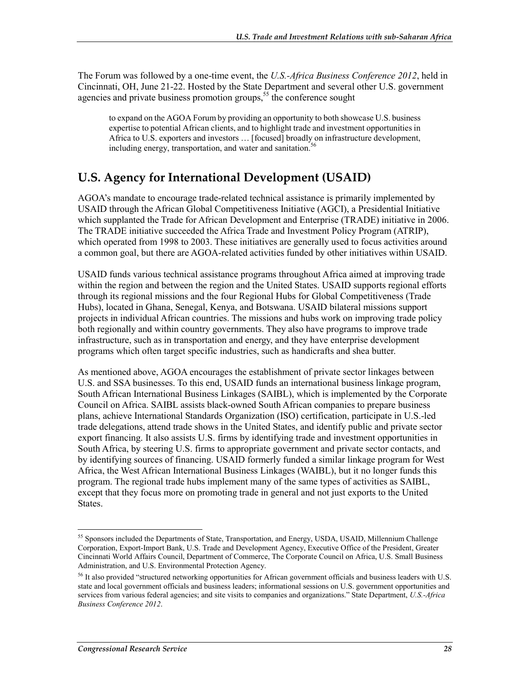The Forum was followed by a one-time event, the *U.S.-Africa Business Conference 2012*, held in Cincinnati, OH, June 21-22. Hosted by the State Department and several other U.S. government agencies and private business promotion groups,<sup>55</sup> the conference sought

to expand on the AGOA Forum by providing an opportunity to both showcase U.S. business expertise to potential African clients, and to highlight trade and investment opportunities in Africa to U.S. exporters and investors … [focused] broadly on infrastructure development, including energy, transportation, and water and sanitation.<sup>56</sup>

# **U.S. Agency for International Development (USAID)**

AGOA's mandate to encourage trade-related technical assistance is primarily implemented by USAID through the African Global Competitiveness Initiative (AGCI), a Presidential Initiative which supplanted the Trade for African Development and Enterprise (TRADE) initiative in 2006. The TRADE initiative succeeded the Africa Trade and Investment Policy Program (ATRIP), which operated from 1998 to 2003. These initiatives are generally used to focus activities around a common goal, but there are AGOA-related activities funded by other initiatives within USAID.

USAID funds various technical assistance programs throughout Africa aimed at improving trade within the region and between the region and the United States. USAID supports regional efforts through its regional missions and the four Regional Hubs for Global Competitiveness (Trade Hubs), located in Ghana, Senegal, Kenya, and Botswana. USAID bilateral missions support projects in individual African countries. The missions and hubs work on improving trade policy both regionally and within country governments. They also have programs to improve trade infrastructure, such as in transportation and energy, and they have enterprise development programs which often target specific industries, such as handicrafts and shea butter.

As mentioned above, AGOA encourages the establishment of private sector linkages between U.S. and SSA businesses. To this end, USAID funds an international business linkage program, South African International Business Linkages (SAIBL), which is implemented by the Corporate Council on Africa. SAIBL assists black-owned South African companies to prepare business plans, achieve International Standards Organization (ISO) certification, participate in U.S.-led trade delegations, attend trade shows in the United States, and identify public and private sector export financing. It also assists U.S. firms by identifying trade and investment opportunities in South Africa, by steering U.S. firms to appropriate government and private sector contacts, and by identifying sources of financing. USAID formerly funded a similar linkage program for West Africa, the West African International Business Linkages (WAIBL), but it no longer funds this program. The regional trade hubs implement many of the same types of activities as SAIBL, except that they focus more on promoting trade in general and not just exports to the United States.

<sup>&</sup>lt;sup>55</sup> Sponsors included the Departments of State, Transportation, and Energy, USDA, USAID, Millennium Challenge Corporation, Export-Import Bank, U.S. Trade and Development Agency, Executive Office of the President, Greater Cincinnati World Affairs Council, Department of Commerce, The Corporate Council on Africa, U.S. Small Business Administration, and U.S. Environmental Protection Agency.

<sup>&</sup>lt;sup>56</sup> It also provided "structured networking opportunities for African government officials and business leaders with U.S. state and local government officials and business leaders; informational sessions on U.S. government opportunities and services from various federal agencies; and site visits to companies and organizations." State Department, *U.S.-Africa Business Conference 2012*.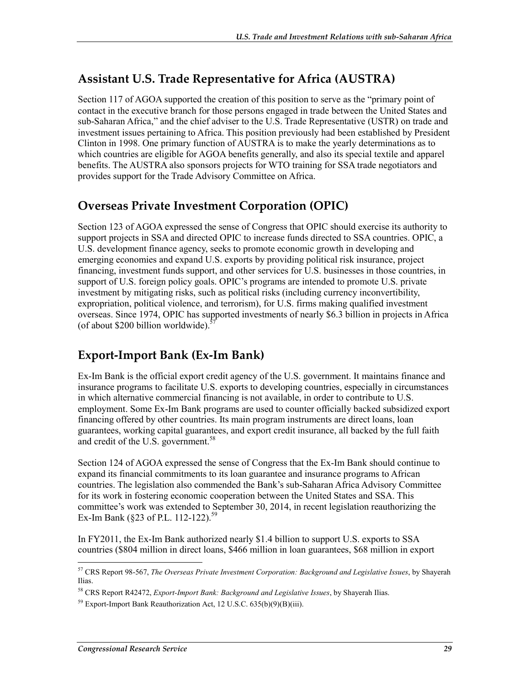## **Assistant U.S. Trade Representative for Africa (AUSTRA)**

Section 117 of AGOA supported the creation of this position to serve as the "primary point of contact in the executive branch for those persons engaged in trade between the United States and sub-Saharan Africa," and the chief adviser to the U.S. Trade Representative (USTR) on trade and investment issues pertaining to Africa. This position previously had been established by President Clinton in 1998. One primary function of AUSTRA is to make the yearly determinations as to which countries are eligible for AGOA benefits generally, and also its special textile and apparel benefits. The AUSTRA also sponsors projects for WTO training for SSA trade negotiators and provides support for the Trade Advisory Committee on Africa.

## **Overseas Private Investment Corporation (OPIC)**

Section 123 of AGOA expressed the sense of Congress that OPIC should exercise its authority to support projects in SSA and directed OPIC to increase funds directed to SSA countries. OPIC, a U.S. development finance agency, seeks to promote economic growth in developing and emerging economies and expand U.S. exports by providing political risk insurance, project financing, investment funds support, and other services for U.S. businesses in those countries, in support of U.S. foreign policy goals. OPIC's programs are intended to promote U.S. private investment by mitigating risks, such as political risks (including currency inconvertibility, expropriation, political violence, and terrorism), for U.S. firms making qualified investment overseas. Since 1974, OPIC has supported investments of nearly \$6.3 billion in projects in Africa (of about \$200 billion worldwide). $57$ 

## **Export-Import Bank (Ex-Im Bank)**

Ex-Im Bank is the official export credit agency of the U.S. government. It maintains finance and insurance programs to facilitate U.S. exports to developing countries, especially in circumstances in which alternative commercial financing is not available, in order to contribute to U.S. employment. Some Ex-Im Bank programs are used to counter officially backed subsidized export financing offered by other countries. Its main program instruments are direct loans, loan guarantees, working capital guarantees, and export credit insurance, all backed by the full faith and credit of the U.S. government.<sup>58</sup>

Section 124 of AGOA expressed the sense of Congress that the Ex-Im Bank should continue to expand its financial commitments to its loan guarantee and insurance programs to African countries. The legislation also commended the Bank's sub-Saharan Africa Advisory Committee for its work in fostering economic cooperation between the United States and SSA. This committee's work was extended to September 30, 2014, in recent legislation reauthorizing the Ex-Im Bank (§23 of P.L. 112-122).<sup>59</sup>

In FY2011, the Ex-Im Bank authorized nearly \$1.4 billion to support U.S. exports to SSA countries (\$804 million in direct loans, \$466 million in loan guarantees, \$68 million in export

<sup>1</sup> 57 CRS Report 98-567, *The Overseas Private Investment Corporation: Background and Legislative Issues*, by Shayerah Ilias.

<sup>58</sup> CRS Report R42472, *Export-Import Bank: Background and Legislative Issues*, by Shayerah Ilias.

 $59$  Export-Import Bank Reauthorization Act, 12 U.S.C.  $635(b)(9)(B)(iii)$ .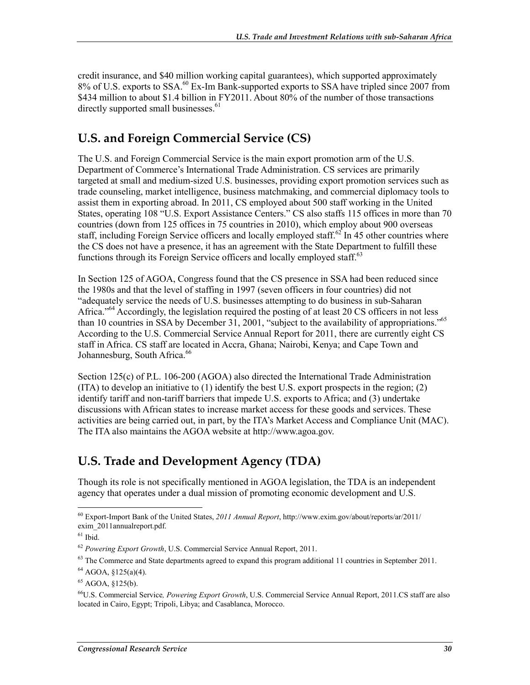credit insurance, and \$40 million working capital guarantees), which supported approximately 8% of U.S. exports to SSA.<sup>60</sup> Ex-Im Bank-supported exports to SSA have tripled since 2007 from \$434 million to about \$1.4 billion in FY2011. About 80% of the number of those transactions directly supported small businesses.<sup>61</sup>

## **U.S. and Foreign Commercial Service (CS)**

The U.S. and Foreign Commercial Service is the main export promotion arm of the U.S. Department of Commerce's International Trade Administration. CS services are primarily targeted at small and medium-sized U.S. businesses, providing export promotion services such as trade counseling, market intelligence, business matchmaking, and commercial diplomacy tools to assist them in exporting abroad. In 2011, CS employed about 500 staff working in the United States, operating 108 "U.S. Export Assistance Centers." CS also staffs 115 offices in more than 70 countries (down from 125 offices in 75 countries in 2010), which employ about 900 overseas staff, including Foreign Service officers and locally employed staff.<sup>62</sup> In 45 other countries where the CS does not have a presence, it has an agreement with the State Department to fulfill these functions through its Foreign Service officers and locally employed staff.<sup>63</sup>

In Section 125 of AGOA, Congress found that the CS presence in SSA had been reduced since the 1980s and that the level of staffing in 1997 (seven officers in four countries) did not "adequately service the needs of U.S. businesses attempting to do business in sub-Saharan Africa."<sup>64</sup> Accordingly, the legislation required the posting of at least 20 CS officers in not less than 10 countries in SSA by December 31, 2001, "subject to the availability of appropriations."<sup>65</sup> According to the U.S. Commercial Service Annual Report for 2011, there are currently eight CS staff in Africa. CS staff are located in Accra, Ghana; Nairobi, Kenya; and Cape Town and Johannesburg, South Africa.<sup>66</sup>

Section 125(c) of P.L. 106-200 (AGOA) also directed the International Trade Administration (ITA) to develop an initiative to (1) identify the best U.S. export prospects in the region; (2) identify tariff and non-tariff barriers that impede U.S. exports to Africa; and (3) undertake discussions with African states to increase market access for these goods and services. These activities are being carried out, in part, by the ITA's Market Access and Compliance Unit (MAC). The ITA also maintains the AGOA website at http://www.agoa.gov.

# **U.S. Trade and Development Agency (TDA)**

Though its role is not specifically mentioned in AGOA legislation, the TDA is an independent agency that operates under a dual mission of promoting economic development and U.S.

<sup>60</sup> Export-Import Bank of the United States, *2011 Annual Report*, http://www.exim.gov/about/reports/ar/2011/ exim\_2011annualreport.pdf.

 $61$  Ibid.

<sup>62</sup> *Powering Export Growth*, U.S. Commercial Service Annual Report, 2011.

 $63$  The Commerce and State departments agreed to expand this program additional 11 countries in September 2011.

 $64$  AGOA, §125(a)(4).

<sup>65</sup> AGOA, §125(b).

<sup>66</sup>U.S. Commercial Service*, Powering Export Growth*, U.S. Commercial Service Annual Report, 2011.CS staff are also located in Cairo, Egypt; Tripoli, Libya; and Casablanca, Morocco.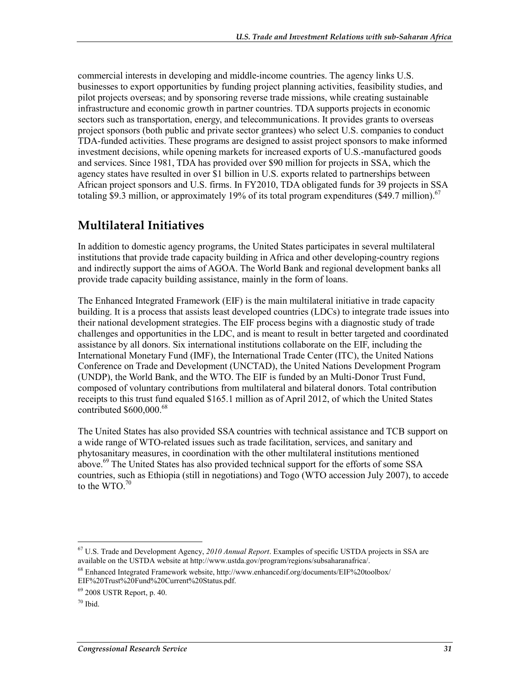commercial interests in developing and middle-income countries. The agency links U.S. businesses to export opportunities by funding project planning activities, feasibility studies, and pilot projects overseas; and by sponsoring reverse trade missions, while creating sustainable infrastructure and economic growth in partner countries. TDA supports projects in economic sectors such as transportation, energy, and telecommunications. It provides grants to overseas project sponsors (both public and private sector grantees) who select U.S. companies to conduct TDA-funded activities. These programs are designed to assist project sponsors to make informed investment decisions, while opening markets for increased exports of U.S.-manufactured goods and services. Since 1981, TDA has provided over \$90 million for projects in SSA, which the agency states have resulted in over \$1 billion in U.S. exports related to partnerships between African project sponsors and U.S. firms. In FY2010, TDA obligated funds for 39 projects in SSA totaling  $\overline{\$9.3$$  million, or approximately 19% of its total program expenditures (\$49.7 million).<sup>67</sup>

## **Multilateral Initiatives**

In addition to domestic agency programs, the United States participates in several multilateral institutions that provide trade capacity building in Africa and other developing-country regions and indirectly support the aims of AGOA. The World Bank and regional development banks all provide trade capacity building assistance, mainly in the form of loans.

The Enhanced Integrated Framework (EIF) is the main multilateral initiative in trade capacity building. It is a process that assists least developed countries (LDCs) to integrate trade issues into their national development strategies. The EIF process begins with a diagnostic study of trade challenges and opportunities in the LDC, and is meant to result in better targeted and coordinated assistance by all donors. Six international institutions collaborate on the EIF, including the International Monetary Fund (IMF), the International Trade Center (ITC), the United Nations Conference on Trade and Development (UNCTAD), the United Nations Development Program (UNDP), the World Bank, and the WTO. The EIF is funded by an Multi-Donor Trust Fund, composed of voluntary contributions from multilateral and bilateral donors. Total contribution receipts to this trust fund equaled \$165.1 million as of April 2012, of which the United States contributed \$600,000.<sup>68</sup>

The United States has also provided SSA countries with technical assistance and TCB support on a wide range of WTO-related issues such as trade facilitation, services, and sanitary and phytosanitary measures, in coordination with the other multilateral institutions mentioned above.<sup>69</sup> The United States has also provided technical support for the efforts of some SSA countries, such as Ethiopia (still in negotiations) and Togo (WTO accession July 2007), to accede to the WTO.<sup>70</sup>

<sup>67</sup> U.S. Trade and Development Agency, *2010 Annual Report*. Examples of specific USTDA projects in SSA are available on the USTDA website at http://www.ustda.gov/program/regions/subsaharanafrica/.

<sup>68</sup> Enhanced Integrated Framework website, http://www.enhancedif.org/documents/EIF%20toolbox/ EIF%20Trust%20Fund%20Current%20Status.pdf.

<sup>69 2008</sup> USTR Report, p. 40.

 $70$  Ibid.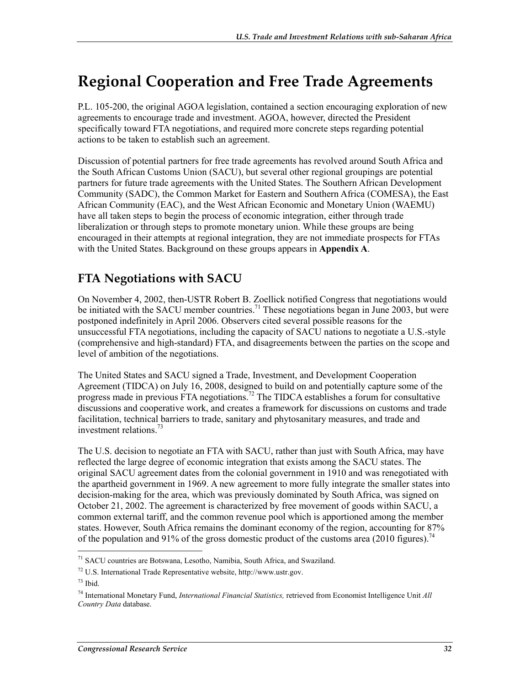# **Regional Cooperation and Free Trade Agreements**

P.L. 105-200, the original AGOA legislation, contained a section encouraging exploration of new agreements to encourage trade and investment. AGOA, however, directed the President specifically toward FTA negotiations, and required more concrete steps regarding potential actions to be taken to establish such an agreement.

Discussion of potential partners for free trade agreements has revolved around South Africa and the South African Customs Union (SACU), but several other regional groupings are potential partners for future trade agreements with the United States. The Southern African Development Community (SADC), the Common Market for Eastern and Southern Africa (COMESA), the East African Community (EAC), and the West African Economic and Monetary Union (WAEMU) have all taken steps to begin the process of economic integration, either through trade liberalization or through steps to promote monetary union. While these groups are being encouraged in their attempts at regional integration, they are not immediate prospects for FTAs with the United States. Background on these groups appears in **Appendix A**.

## **FTA Negotiations with SACU**

On November 4, 2002, then-USTR Robert B. Zoellick notified Congress that negotiations would be initiated with the SACU member countries.<sup>71</sup> These negotiations began in June 2003, but were postponed indefinitely in April 2006. Observers cited several possible reasons for the unsuccessful FTA negotiations, including the capacity of SACU nations to negotiate a U.S.-style (comprehensive and high-standard) FTA, and disagreements between the parties on the scope and level of ambition of the negotiations.

The United States and SACU signed a Trade, Investment, and Development Cooperation Agreement (TIDCA) on July 16, 2008, designed to build on and potentially capture some of the progress made in previous FTA negotiations.72 The TIDCA establishes a forum for consultative discussions and cooperative work, and creates a framework for discussions on customs and trade facilitation, technical barriers to trade, sanitary and phytosanitary measures, and trade and investment relations.73

The U.S. decision to negotiate an FTA with SACU, rather than just with South Africa, may have reflected the large degree of economic integration that exists among the SACU states. The original SACU agreement dates from the colonial government in 1910 and was renegotiated with the apartheid government in 1969. A new agreement to more fully integrate the smaller states into decision-making for the area, which was previously dominated by South Africa, was signed on October 21, 2002. The agreement is characterized by free movement of goods within SACU, a common external tariff, and the common revenue pool which is apportioned among the member states. However, South Africa remains the dominant economy of the region, accounting for 87% of the population and 91% of the gross domestic product of the customs area (2010 figures).<sup>74</sup>

<sup>&</sup>lt;u>.</u> 71 SACU countries are Botswana, Lesotho, Namibia, South Africa, and Swaziland.

<sup>72</sup> U.S. International Trade Representative website, http://www.ustr.gov.

 $73$  Ibid.

<sup>74</sup> International Monetary Fund, *International Financial Statistics,* retrieved from Economist Intelligence Unit *All Country Data* database.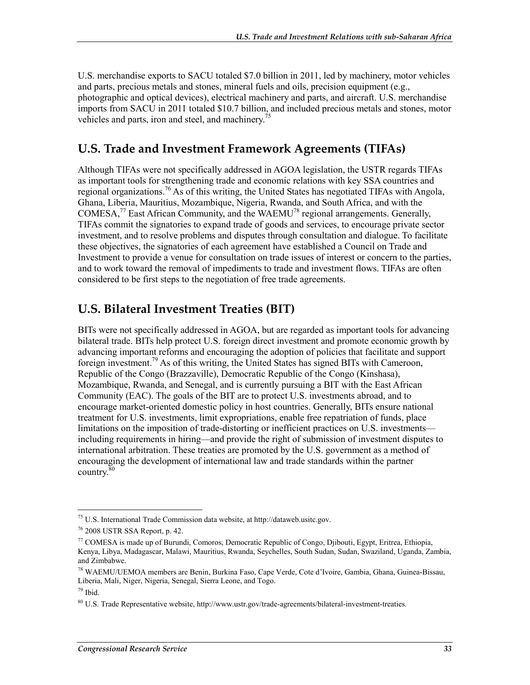U.S. merchandise exports to SACU totaled \$7.0 billion in 2011, led by machinery, motor vehicles and parts, precious metals and stones, mineral fuels and oils, precision equipment (e.g., photographic and optical devices), electrical machinery and parts, and aircraft. U.S. merchandise imports from SACU in 2011 totaled \$10.7 billion, and included precious metals and stones, motor vehicles and parts, iron and steel, and machinery.<sup>7</sup>

## **U.S. Trade and Investment Framework Agreements (TIFAs)**

Although TIFAs were not specifically addressed in AGOA legislation, the USTR regards TIFAs as important tools for strengthening trade and economic relations with key SSA countries and regional organizations.<sup>76</sup> As of this writing, the United States has negotiated TIFAs with Angola, Ghana, Liberia, Mauritius, Mozambique, Nigeria, Rwanda, and South Africa, and with the COMESA,<sup>77</sup> East African Community, and the WAEMU<sup>78</sup> regional arrangements. Generally, TIFAs commit the signatories to expand trade of goods and services, to encourage private sector investment, and to resolve problems and disputes through consultation and dialogue. To facilitate these objectives, the signatories of each agreement have established a Council on Trade and Investment to provide a venue for consultation on trade issues of interest or concern to the parties, and to work toward the removal of impediments to trade and investment flows. TIFAs are often considered to be first steps to the negotiation of free trade agreements.

## **U.S. Bilateral Investment Treaties (BIT)**

BITs were not specifically addressed in AGOA, but are regarded as important tools for advancing bilateral trade. BITs help protect U.S. foreign direct investment and promote economic growth by advancing important reforms and encouraging the adoption of policies that facilitate and support foreign investment.<sup>79</sup> As of this writing, the United States has signed BITs with Cameroon, Republic of the Congo (Brazzaville), Democratic Republic of the Congo (Kinshasa), Mozambique, Rwanda, and Senegal, and is currently pursuing a BIT with the East African Community (EAC). The goals of the BIT are to protect U.S. investments abroad, and to encourage market-oriented domestic policy in host countries. Generally, BITs ensure national treatment for U.S. investments, limit expropriations, enable free repatriation of funds, place limitations on the imposition of trade-distorting or inefficient practices on U.S. investments including requirements in hiring—and provide the right of submission of investment disputes to international arbitration. These treaties are promoted by the U.S. government as a method of encouraging the development of international law and trade standards within the partner country.<sup>80</sup>

 $75$  U.S. International Trade Commission data website, at http://dataweb.usitc.gov.

<sup>76 2008</sup> USTR SSA Report, p. 42.

<sup>77</sup> COMESA is made up of Burundi, Comoros, Democratic Republic of Congo, Djibouti, Egypt, Eritrea, Ethiopia, Kenya, Libya, Madagascar, Malawi, Mauritius, Rwanda, Seychelles, South Sudan, Sudan, Swaziland, Uganda, Zambia, and Zimbabwe.

<sup>78</sup> WAEMU/UEMOA members are Benin, Burkina Faso, Cape Verde, Cote d'Ivoire, Gambia, Ghana, Guinea-Bissau, Liberia, Mali, Niger, Nigeria, Senegal, Sierra Leone, and Togo.

<sup>79</sup> Ibid.

<sup>80</sup> U.S. Trade Representative website, http://www.ustr.gov/trade-agreements/bilateral-investment-treaties.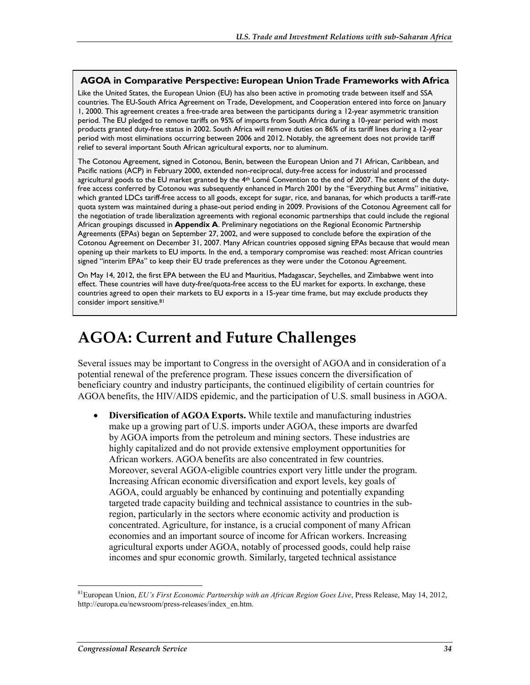#### **AGOA in Comparative Perspective: European Union Trade Frameworks with Africa**

Like the United States, the European Union (EU) has also been active in promoting trade between itself and SSA countries. The EU-South Africa Agreement on Trade, Development, and Cooperation entered into force on January 1, 2000. This agreement creates a free-trade area between the participants during a 12-year asymmetric transition period. The EU pledged to remove tariffs on 95% of imports from South Africa during a 10-year period with most products granted duty-free status in 2002. South Africa will remove duties on 86% of its tariff lines during a 12-year period with most eliminations occurring between 2006 and 2012. Notably, the agreement does not provide tariff relief to several important South African agricultural exports, nor to aluminum.

The Cotonou Agreement, signed in Cotonou, Benin, between the European Union and 71 African, Caribbean, and Pacific nations (ACP) in February 2000, extended non-reciprocal, duty-free access for industrial and processed agricultural goods to the EU market granted by the 4<sup>th</sup> Lomé Convention to the end of 2007. The extent of the dutyfree access conferred by Cotonou was subsequently enhanced in March 2001 by the "Everything but Arms" initiative, which granted LDCs tariff-free access to all goods, except for sugar, rice, and bananas, for which products a tariff-rate quota system was maintained during a phase-out period ending in 2009. Provisions of the Cotonou Agreement call for the negotiation of trade liberalization agreements with regional economic partnerships that could include the regional African groupings discussed in **Appendix A**. Preliminary negotiations on the Regional Economic Partnership Agreements (EPAs) began on September 27, 2002, and were supposed to conclude before the expiration of the Cotonou Agreement on December 31, 2007. Many African countries opposed signing EPAs because that would mean opening up their markets to EU imports. In the end, a temporary compromise was reached: most African countries signed "interim EPAs" to keep their EU trade preferences as they were under the Cotonou Agreement.

On May 14, 2012, the first EPA between the EU and Mauritius, Madagascar, Seychelles, and Zimbabwe went into effect. These countries will have duty-free/quota-free access to the EU market for exports. In exchange, these countries agreed to open their markets to EU exports in a 15-year time frame, but may exclude products they consider import sensitive.<sup>81</sup>

# **AGOA: Current and Future Challenges**

Several issues may be important to Congress in the oversight of AGOA and in consideration of a potential renewal of the preference program. These issues concern the diversification of beneficiary country and industry participants, the continued eligibility of certain countries for AGOA benefits, the HIV/AIDS epidemic, and the participation of U.S. small business in AGOA.

• **Diversification of AGOA Exports.** While textile and manufacturing industries make up a growing part of U.S. imports under AGOA, these imports are dwarfed by AGOA imports from the petroleum and mining sectors. These industries are highly capitalized and do not provide extensive employment opportunities for African workers. AGOA benefits are also concentrated in few countries. Moreover, several AGOA-eligible countries export very little under the program. Increasing African economic diversification and export levels, key goals of AGOA, could arguably be enhanced by continuing and potentially expanding targeted trade capacity building and technical assistance to countries in the subregion, particularly in the sectors where economic activity and production is concentrated. Agriculture, for instance, is a crucial component of many African economies and an important source of income for African workers. Increasing agricultural exports under AGOA, notably of processed goods, could help raise incomes and spur economic growth. Similarly, targeted technical assistance

<sup>81</sup>European Union, *EU's First Economic Partnership with an African Region Goes Live*, Press Release, May 14, 2012, http://europa.eu/newsroom/press-releases/index\_en.htm.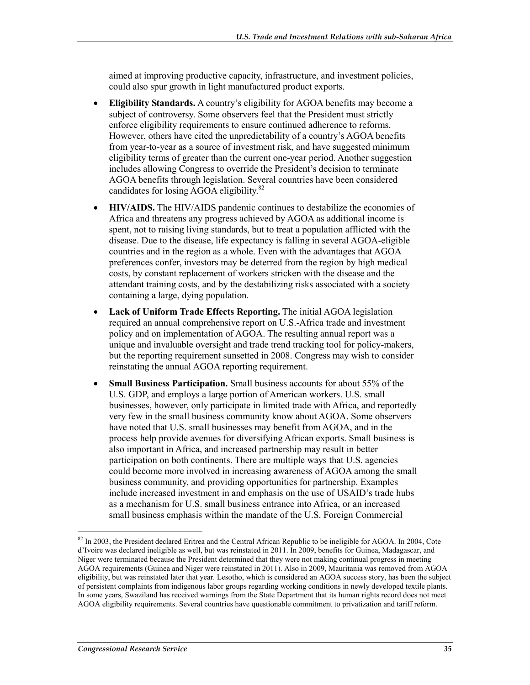aimed at improving productive capacity, infrastructure, and investment policies, could also spur growth in light manufactured product exports.

- **Eligibility Standards.** A country's eligibility for AGOA benefits may become a subject of controversy. Some observers feel that the President must strictly enforce eligibility requirements to ensure continued adherence to reforms. However, others have cited the unpredictability of a country's AGOA benefits from year-to-year as a source of investment risk, and have suggested minimum eligibility terms of greater than the current one-year period. Another suggestion includes allowing Congress to override the President's decision to terminate AGOA benefits through legislation. Several countries have been considered candidates for losing AGOA eligibility.82
- **HIV/AIDS.** The HIV/AIDS pandemic continues to destabilize the economies of Africa and threatens any progress achieved by AGOA as additional income is spent, not to raising living standards, but to treat a population afflicted with the disease. Due to the disease, life expectancy is falling in several AGOA-eligible countries and in the region as a whole. Even with the advantages that AGOA preferences confer, investors may be deterred from the region by high medical costs, by constant replacement of workers stricken with the disease and the attendant training costs, and by the destabilizing risks associated with a society containing a large, dying population.
- **Lack of Uniform Trade Effects Reporting.** The initial AGOA legislation required an annual comprehensive report on U.S.-Africa trade and investment policy and on implementation of AGOA. The resulting annual report was a unique and invaluable oversight and trade trend tracking tool for policy-makers, but the reporting requirement sunsetted in 2008. Congress may wish to consider reinstating the annual AGOA reporting requirement.
- **Small Business Participation.** Small business accounts for about 55% of the U.S. GDP, and employs a large portion of American workers. U.S. small businesses, however, only participate in limited trade with Africa, and reportedly very few in the small business community know about AGOA. Some observers have noted that U.S. small businesses may benefit from AGOA, and in the process help provide avenues for diversifying African exports. Small business is also important in Africa, and increased partnership may result in better participation on both continents. There are multiple ways that U.S. agencies could become more involved in increasing awareness of AGOA among the small business community, and providing opportunities for partnership. Examples include increased investment in and emphasis on the use of USAID's trade hubs as a mechanism for U.S. small business entrance into Africa, or an increased small business emphasis within the mandate of the U.S. Foreign Commercial

<sup>&</sup>lt;sup>82</sup> In 2003, the President declared Eritrea and the Central African Republic to be ineligible for AGOA. In 2004, Cote d'Ivoire was declared ineligible as well, but was reinstated in 2011. In 2009, benefits for Guinea, Madagascar, and Niger were terminated because the President determined that they were not making continual progress in meeting AGOA requirements (Guinea and Niger were reinstated in 2011). Also in 2009, Mauritania was removed from AGOA eligibility, but was reinstated later that year. Lesotho, which is considered an AGOA success story, has been the subject of persistent complaints from indigenous labor groups regarding working conditions in newly developed textile plants. In some years, Swaziland has received warnings from the State Department that its human rights record does not meet AGOA eligibility requirements. Several countries have questionable commitment to privatization and tariff reform.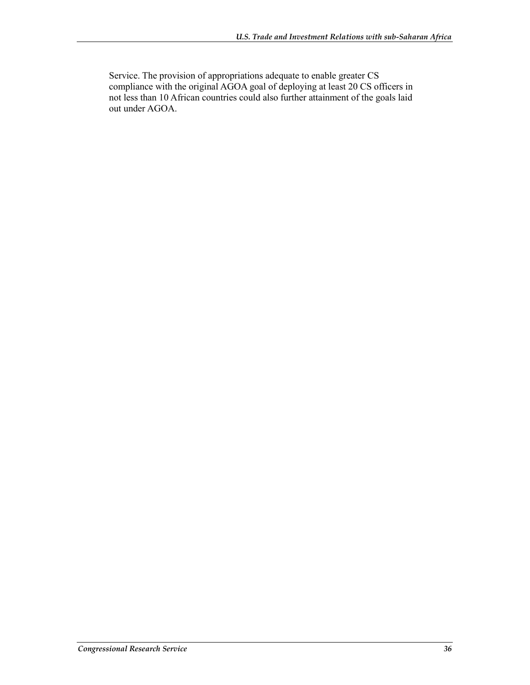Service. The provision of appropriations adequate to enable greater CS compliance with the original AGOA goal of deploying at least 20 CS officers in not less than 10 African countries could also further attainment of the goals laid out under AGOA.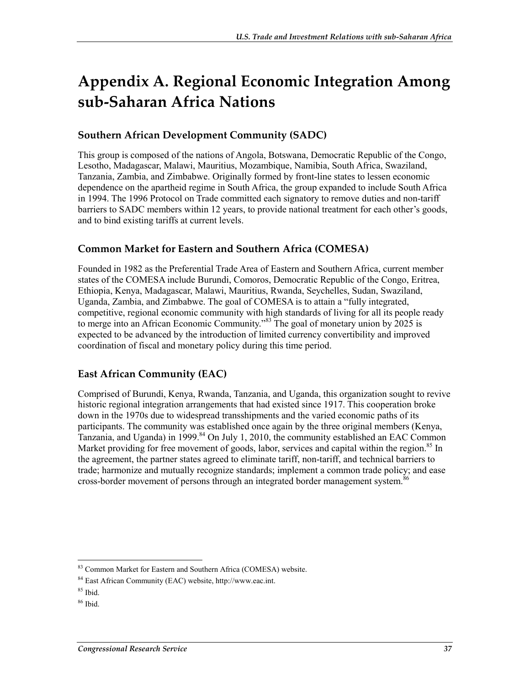# **Appendix A. Regional Economic Integration Among sub-Saharan Africa Nations**

### **Southern African Development Community (SADC)**

This group is composed of the nations of Angola, Botswana, Democratic Republic of the Congo, Lesotho, Madagascar, Malawi, Mauritius, Mozambique, Namibia, South Africa, Swaziland, Tanzania, Zambia, and Zimbabwe. Originally formed by front-line states to lessen economic dependence on the apartheid regime in South Africa, the group expanded to include South Africa in 1994. The 1996 Protocol on Trade committed each signatory to remove duties and non-tariff barriers to SADC members within 12 years, to provide national treatment for each other's goods, and to bind existing tariffs at current levels.

### **Common Market for Eastern and Southern Africa (COMESA)**

Founded in 1982 as the Preferential Trade Area of Eastern and Southern Africa, current member states of the COMESA include Burundi, Comoros, Democratic Republic of the Congo, Eritrea, Ethiopia, Kenya, Madagascar, Malawi, Mauritius, Rwanda, Seychelles, Sudan, Swaziland, Uganda, Zambia, and Zimbabwe. The goal of COMESA is to attain a "fully integrated, competitive, regional economic community with high standards of living for all its people ready to merge into an African Economic Community."83 The goal of monetary union by 2025 is expected to be advanced by the introduction of limited currency convertibility and improved coordination of fiscal and monetary policy during this time period.

### **East African Community (EAC)**

Comprised of Burundi, Kenya, Rwanda, Tanzania, and Uganda, this organization sought to revive historic regional integration arrangements that had existed since 1917. This cooperation broke down in the 1970s due to widespread transshipments and the varied economic paths of its participants. The community was established once again by the three original members (Kenya, Tanzania, and Uganda) in 1999.<sup>84</sup> On July 1, 2010, the community established an EAC Common Market providing for free movement of goods, labor, services and capital within the region.<sup>85</sup> In the agreement, the partner states agreed to eliminate tariff, non-tariff, and technical barriers to trade; harmonize and mutually recognize standards; implement a common trade policy; and ease cross-border movement of persons through an integrated border management system.<sup>86</sup>

<sup>1</sup> 83 Common Market for Eastern and Southern Africa (COMESA) website.

<sup>84</sup> East African Community (EAC) website, http://www.eac.int.

 $85$  Ibid.

 $86$  Ibid.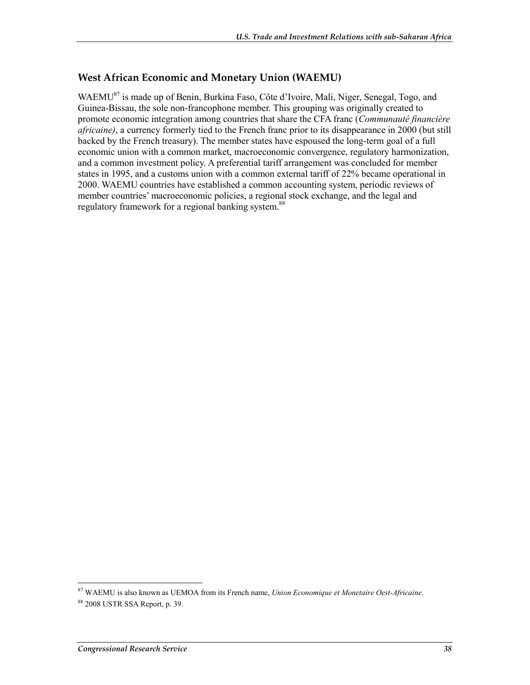### **West African Economic and Monetary Union (WAEMU)**

WAEMU<sup>87</sup> is made up of Benin, Burkina Faso, Côte d'Ivoire, Mali, Niger, Senegal, Togo, and Guinea-Bissau, the sole non-francophone member. This grouping was originally created to promote economic integration among countries that share the CFA franc (*Communauté financière africaine)*, a currency formerly tied to the French franc prior to its disappearance in 2000 (but still backed by the French treasury). The member states have espoused the long-term goal of a full economic union with a common market, macroeconomic convergence, regulatory harmonization, and a common investment policy. A preferential tariff arrangement was concluded for member states in 1995, and a customs union with a common external tariff of 22% became operational in 2000. WAEMU countries have established a common accounting system, periodic reviews of member countries' macroeconomic policies, a regional stock exchange, and the legal and regulatory framework for a regional banking system.<sup>88</sup>

<sup>87</sup> WAEMU is also known as UEMOA from its French name, *Union Economique et Monetaire Oest-Africaine.* 88 2008 USTR SSA Report, p. 39.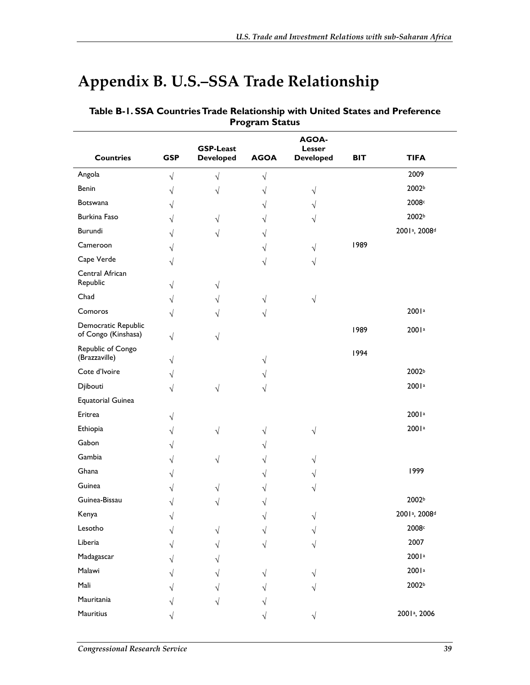# **Appendix B. U.S.–SSA Trade Relationship**

| <b>Countries</b>                           | <b>GSP</b> | <b>GSP-Least</b><br><b>Developed</b> | <b>AGOA</b> | AGOA-<br>Lesser<br><b>Developed</b> | <b>BIT</b> | <b>TIFA</b>                           |
|--------------------------------------------|------------|--------------------------------------|-------------|-------------------------------------|------------|---------------------------------------|
| Angola                                     |            |                                      |             |                                     |            | 2009                                  |
| Benin                                      | $\sqrt{ }$ | $\sqrt{}$                            | V           |                                     |            | 2002b                                 |
| Botswana                                   | $\sqrt{}$  |                                      | ٦           | V                                   |            | 2008c                                 |
|                                            | V          |                                      | ٧           |                                     |            |                                       |
| Burkina Faso                               | V          | V                                    | ٧           |                                     |            | 2002b                                 |
| Burundi                                    | V          | V                                    | ٧           |                                     |            | 2001 <sup>a</sup> , 2008 <sup>d</sup> |
| Cameroon                                   | V          |                                      | ٧           | V                                   | 1989       |                                       |
| Cape Verde                                 | V          |                                      |             | V                                   |            |                                       |
| Central African<br>Republic                | V          | V                                    |             |                                     |            |                                       |
| Chad                                       | V          | V                                    | V           | $\sqrt{}$                           |            |                                       |
| Comoros                                    | V          |                                      | V           |                                     |            | 2001a                                 |
| Democratic Republic<br>of Congo (Kinshasa) | $\sqrt{}$  | V                                    |             |                                     | 1989       | 2001a                                 |
| Republic of Congo<br>(Brazzaville)         | V          |                                      | V           |                                     | 1994       |                                       |
| Cote d'Ivoire                              | V          |                                      |             |                                     |            | 2002b                                 |
| Djibouti                                   | V          | √                                    |             |                                     |            | 2001a                                 |
| <b>Equatorial Guinea</b>                   |            |                                      |             |                                     |            |                                       |
| Eritrea                                    | V          |                                      |             |                                     |            | 2001a                                 |
| Ethiopia                                   | V          | $\sqrt{ }$                           | V           | V                                   |            | 2001 <sup>a</sup>                     |
| Gabon                                      | V          |                                      |             |                                     |            |                                       |
| Gambia                                     | V          | V                                    | ٧           |                                     |            |                                       |
| Ghana                                      | V          |                                      |             |                                     |            | 1999                                  |
| Guinea                                     | V          |                                      |             |                                     |            |                                       |
| Guinea-Bissau                              | V          |                                      |             |                                     |            | 2002b                                 |
| Kenya                                      |            |                                      |             |                                     |            | 2001 <sup>a</sup> , 2008 <sup>d</sup> |
| Lesotho                                    |            |                                      |             |                                     |            | 2008c                                 |
| Liberia                                    |            |                                      |             |                                     |            | 2007                                  |
| Madagascar                                 |            |                                      |             |                                     |            | 2001a                                 |
| Malawi                                     |            |                                      |             |                                     |            | 2001a                                 |
| Mali                                       |            |                                      |             |                                     |            | 2002b                                 |
|                                            |            |                                      |             |                                     |            |                                       |
|                                            |            |                                      |             |                                     |            |                                       |
| Mauritania<br>Mauritius                    |            |                                      |             | V                                   |            | 2001 <sup>a</sup> , 2006              |

#### **Table B-1. SSA Countries Trade Relationship with United States and Preference Program Status**